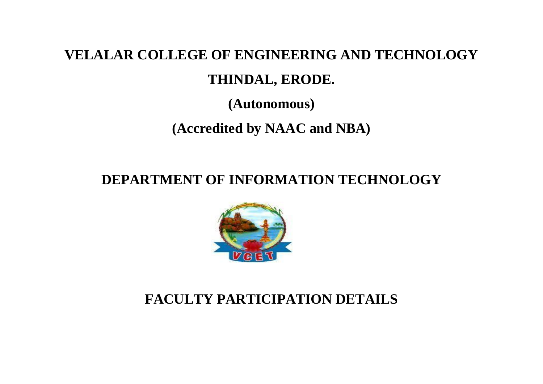## **VELALAR COLLEGE OF ENGINEERING AND TECHNOLOGY THINDAL, ERODE.**

**(Autonomous)**

**(Accredited by NAAC and NBA)**

## **DEPARTMENT OF INFORMATION TECHNOLOGY**



## **FACULTY PARTICIPATION DETAILS**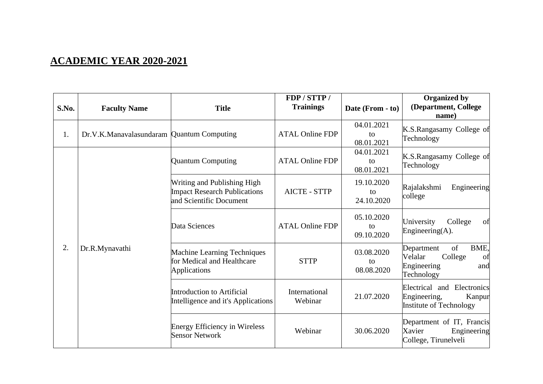## **ACADEMIC YEAR 2020-2021**

| S.No. | <b>Faculty Name</b>                       | <b>Title</b>                                                                                  | FDP/STTP/<br><b>Trainings</b> | Date (From - to)               | <b>Organized by</b><br>(Department, College<br>name)                                     |
|-------|-------------------------------------------|-----------------------------------------------------------------------------------------------|-------------------------------|--------------------------------|------------------------------------------------------------------------------------------|
| 1.    | Dr.V.K.Manavalasundaram Quantum Computing |                                                                                               | <b>ATAL Online FDP</b>        | 04.01.2021<br>to<br>08.01.2021 | K.S.Rangasamy College of<br>Technology                                                   |
|       | Dr.R.Mynavathi                            | <b>Quantum Computing</b>                                                                      | <b>ATAL Online FDP</b>        | 04.01.2021<br>to<br>08.01.2021 | K.S.Rangasamy College of<br>Technology                                                   |
|       |                                           | Writing and Publishing High<br><b>Impact Research Publications</b><br>and Scientific Document | <b>AICTE - STTP</b>           | 19.10.2020<br>to<br>24.10.2020 | Rajalakshmi<br>Engineering<br>college                                                    |
|       |                                           | Data Sciences                                                                                 | <b>ATAL Online FDP</b>        | 05.10.2020<br>to<br>09.10.2020 | University<br>College<br>of<br>Engineering $(A)$ .                                       |
| 2.    |                                           | Machine Learning Techniques<br>for Medical and Healthcare<br><b>Applications</b>              | <b>STTP</b>                   | 03.08.2020<br>to<br>08.08.2020 | of<br>BME,<br>Department<br>Velalar<br>College<br>of<br>Engineering<br>and<br>Technology |
|       |                                           | Introduction to Artificial<br>Intelligence and it's Applications                              | International<br>Webinar      | 21.07.2020                     | Electrical and Electronics<br>Engineering,<br>Kanpur<br>Institute of Technology          |
|       |                                           | <b>Energy Efficiency in Wireless</b><br><b>Sensor Network</b>                                 | Webinar                       | 30.06.2020                     | Department of IT, Francis<br>Xavier<br>Engineering<br>College, Tirunelveli               |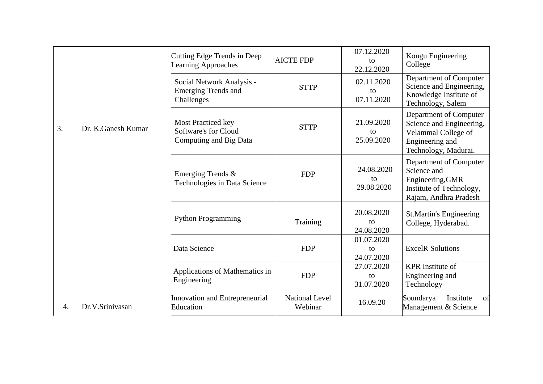|                  |                    | Cutting Edge Trends in Deep<br><b>Learning Approaches</b>                   | <b>AICTE FDP</b>                 | 07.12.2020<br>to<br>22.12.2020 | Kongu Engineering<br>College                                                                                         |
|------------------|--------------------|-----------------------------------------------------------------------------|----------------------------------|--------------------------------|----------------------------------------------------------------------------------------------------------------------|
|                  | Dr. K.Ganesh Kumar | Social Network Analysis -<br><b>Emerging Trends and</b><br>Challenges       | <b>STTP</b>                      | 02.11.2020<br>to<br>07.11.2020 | Department of Computer<br>Science and Engineering,<br>Knowledge Institute of<br>Technology, Salem                    |
| 3.               |                    | <b>Most Practiced key</b><br>Software's for Cloud<br>Computing and Big Data | <b>STTP</b>                      | 21.09.2020<br>to<br>25.09.2020 | Department of Computer<br>Science and Engineering,<br>Velammal College of<br>Engineering and<br>Technology, Madurai. |
|                  |                    | Emerging Trends &<br>Technologies in Data Science                           | <b>FDP</b>                       | 24.08.2020<br>to<br>29.08.2020 | Department of Computer<br>Science and<br>Engineering, GMR<br>Institute of Technology,<br>Rajam, Andhra Pradesh       |
|                  |                    | <b>Python Programming</b>                                                   | Training                         | 20.08.2020<br>to<br>24.08.2020 | <b>St.Martin's Engineering</b><br>College, Hyderabad.                                                                |
|                  |                    | Data Science                                                                | <b>FDP</b>                       | 01.07.2020<br>to<br>24.07.2020 | <b>ExcelR Solutions</b>                                                                                              |
|                  |                    | Applications of Mathematics in<br>Engineering                               | <b>FDP</b>                       | 27.07.2020<br>to<br>31.07.2020 | <b>KPR</b> Institute of<br>Engineering and<br>Technology                                                             |
| $\overline{4}$ . | Dr.V.Srinivasan    | Innovation and Entrepreneurial<br>Education                                 | <b>National Level</b><br>Webinar | 16.09.20                       | Soundarya<br>Institute<br>of<br>Management & Science                                                                 |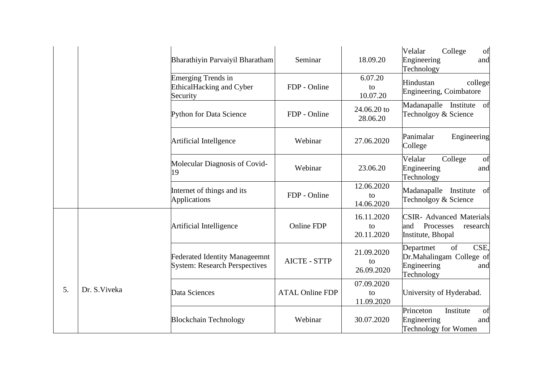|    |               | Bharathiyin Parvaiyil Bharatham                                              | Seminar                | 18.09.20                       | Velalar<br>College<br>of<br>Engineering<br>and<br>Technology                            |
|----|---------------|------------------------------------------------------------------------------|------------------------|--------------------------------|-----------------------------------------------------------------------------------------|
|    |               | <b>Emerging Trends in</b><br><b>EthicalHacking and Cyber</b><br>Security     | FDP - Online           | 6.07.20<br>to<br>10.07.20      | Hindustan<br>college<br>Engineering, Coimbatore                                         |
|    |               | Python for Data Science                                                      | FDP - Online           | 24.06.20 to<br>28.06.20        | Madanapalle Institute of<br>Technolgoy & Science                                        |
|    |               | Artificial Intellgence                                                       | Webinar                | 27.06.2020                     | Panimalar<br>Engineering<br>College                                                     |
|    |               | Molecular Diagnosis of Covid-<br>19                                          | Webinar                | 23.06.20                       | Velalar<br>College<br>of<br>Engineering<br>and<br>Technology                            |
|    |               | Internet of things and its<br><b>Applications</b>                            | FDP - Online           | 12.06.2020<br>to<br>14.06.2020 | Madanapalle Institute of<br>Technolgoy & Science                                        |
|    |               | Artificial Intelligence                                                      | <b>Online FDP</b>      | 16.11.2020<br>to<br>20.11.2020 | <b>CSIR-</b> Advanced Materials<br>Processes<br>and<br>research<br>Institute, Bhopal    |
|    |               | <b>Federated Identity Manageemnt</b><br><b>System: Research Perspectives</b> | <b>AICTE - STTP</b>    | 21.09.2020<br>to<br>26.09.2020 | of<br>CSE,<br>Departmet<br>Dr.Mahalingam College of<br>Engineering<br>and<br>Technology |
| 5. | Dr. S. Viveka | Data Sciences                                                                | <b>ATAL Online FDP</b> | 07.09.2020<br>to<br>11.09.2020 | University of Hyderabad.                                                                |
|    |               | <b>Blockchain Technology</b>                                                 | Webinar                | 30.07.2020                     | Princeton<br>Institute<br>of<br>Engineering<br>and<br>Technology for Women              |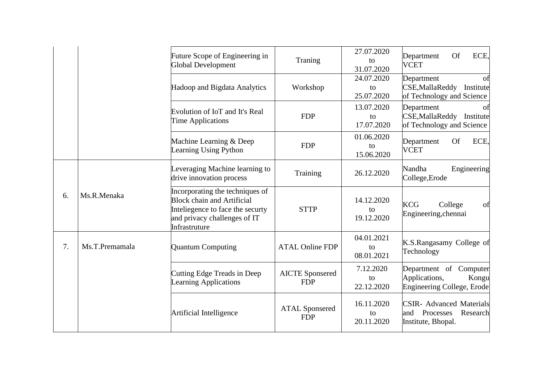|    |                | Future Scope of Engineering in<br><b>Global Development</b>                                                                                               | Traning                              | 27.07.2020<br>to<br>31.07.2020 | ECE,<br>Department<br><b>Of</b><br><b>VCET</b>                                        |
|----|----------------|-----------------------------------------------------------------------------------------------------------------------------------------------------------|--------------------------------------|--------------------------------|---------------------------------------------------------------------------------------|
|    |                | Hadoop and Bigdata Analytics                                                                                                                              | Workshop                             | 24.07.2020<br>to<br>25.07.2020 | Department<br>of<br>CSE, MallaReddy Institute<br>of Technology and Science            |
|    |                | Evolution of IoT and It's Real<br>Time Applications                                                                                                       | <b>FDP</b>                           | 13.07.2020<br>to<br>17.07.2020 | Department<br>0t<br>CSE, MallaReddy Institute<br>of Technology and Science            |
|    |                | Machine Learning & Deep<br><b>Learning Using Python</b>                                                                                                   | <b>FDP</b>                           | 01.06.2020<br>to<br>15.06.2020 | ECE,<br>Department<br><b>Of</b><br><b>VCET</b>                                        |
|    |                | Leveraging Machine learning to<br>drive innovation process                                                                                                | Training                             | 26.12.2020                     | Nandha<br>Engineering<br>College, Erode                                               |
| 6. | Ms.R.Menaka    | Incorporating the techniques of<br><b>Block chain and Artificial</b><br>Inteliegence to face the securty<br>and privacy challenges of IT<br>Infrastruture | <b>STTP</b>                          | 14.12.2020<br>to<br>19.12.2020 | <b>KCG</b><br>College<br>of<br>Engineering, chennai                                   |
| 7. | Ms.T.Premamala | Quantum Computing                                                                                                                                         | <b>ATAL Online FDP</b>               | 04.01.2021<br>to<br>08.01.2021 | K.S.Rangasamy College of<br>Technology                                                |
|    |                | Cutting Edge Treads in Deep<br><b>Learning Applications</b>                                                                                               | <b>AICTE</b> Sponsered<br><b>FDP</b> | 7.12.2020<br>to<br>22.12.2020  | Department of Computer<br>Applications,<br>Kongu<br><b>Engineering College, Erode</b> |
|    |                | Artificial Intelligence                                                                                                                                   | <b>ATAL Sponsered</b><br><b>FDP</b>  | 16.11.2020<br>to<br>20.11.2020 | <b>CSIR-</b> Advanced Materials<br>Processes<br>Research<br>and<br>Institute, Bhopal. |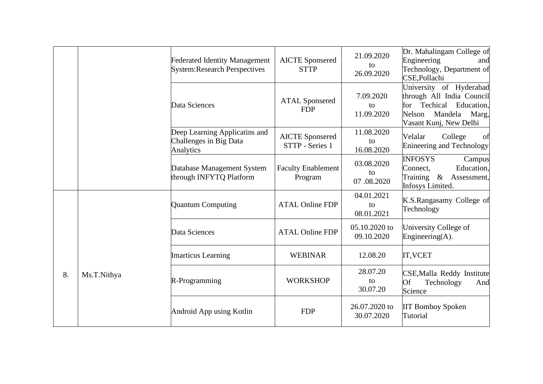|    |             | <b>Federated Identity Management</b><br><b>System: Research Perspectives</b> | <b>AICTE</b> Sponsered<br><b>STTP</b>     | 21.09.2020<br>to<br>26.09.2020 | Dr. Mahalingam College of<br>Engineering<br>and<br>Technology, Department of<br>CSE, Pollachi                                              |
|----|-------------|------------------------------------------------------------------------------|-------------------------------------------|--------------------------------|--------------------------------------------------------------------------------------------------------------------------------------------|
|    |             | Data Sciences                                                                | <b>ATAL Sponsered</b><br><b>FDP</b>       | 7.09.2020<br>to<br>11.09.2020  | University of Hyderabad<br>through All India Council<br>Techical Education,<br>for<br>Mandela<br>Nelson<br>Marg,<br>Vasant Kunj, New Delhi |
|    |             | Deep Learning Applicatins and<br>Challenges in Big Data<br>Analytics         | <b>AICTE</b> Sponsered<br>STTP - Series 1 | 11.08.2020<br>to<br>16.08.2020 | College<br>Velalar<br>of<br>Enineering and Technology                                                                                      |
|    |             | Database Management System<br>through INFYTQ Platform                        | <b>Faculty Enablement</b><br>Program      | 03.08.2020<br>to<br>07.08.2020 | <b>INFOSYS</b><br>Campus<br>Education,<br>Connect,<br>Training & Assessment,<br>Infosys Limited.                                           |
|    |             | <b>Quantum Computing</b>                                                     | <b>ATAL Online FDP</b>                    | 04.01.2021<br>to<br>08.01.2021 | K.S.Rangasamy College of<br>Technology                                                                                                     |
|    |             | Data Sciences                                                                | <b>ATAL Online FDP</b>                    | 05.10.2020 to<br>09.10.2020    | University College of<br>Engineering $(A)$ .                                                                                               |
|    |             | <b>Imarticus Learning</b>                                                    | <b>WEBINAR</b>                            | 12.08.20                       | <b>IT, VCET</b>                                                                                                                            |
| 8. | Ms.T.Nithya | R-Programming                                                                | <b>WORKSHOP</b>                           | 28.07.20<br>to<br>30.07.20     | CSE, Malla Reddy Institute<br>Of<br>Technology<br>And<br>Science                                                                           |
|    |             | Android App using Kotlin                                                     | <b>FDP</b>                                | 26.07.2020 to<br>30.07.2020    | <b>IIT Bomboy Spoken</b><br>Tutorial                                                                                                       |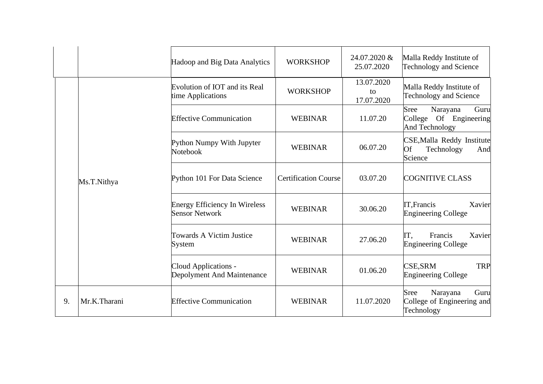|    |              | Hadoop and Big Data Analytics                                 | <b>WORKSHOP</b>             | 24.07.2020 &<br>25.07.2020     | Malla Reddy Institute of<br><b>Technology and Science</b>                      |
|----|--------------|---------------------------------------------------------------|-----------------------------|--------------------------------|--------------------------------------------------------------------------------|
|    |              | Evolution of IOT and its Real<br>time Applications            | <b>WORKSHOP</b>             | 13.07.2020<br>to<br>17.07.2020 | Malla Reddy Institute of<br><b>Technology and Science</b>                      |
|    |              | <b>Effective Communication</b>                                | <b>WEBINAR</b>              | 11.07.20                       | <b>Sree</b><br>Guru<br>Narayana<br>Of Engineering<br>College<br>And Technology |
|    |              | Python Numpy With Jupyter<br><b>Notebook</b>                  | <b>WEBINAR</b>              | 06.07.20                       | CSE, Malla Reddy Institute<br>Of<br>Technology<br>And<br>Science               |
|    | Ms.T.Nithya  | Python 101 For Data Science                                   | <b>Certification Course</b> | 03.07.20                       | <b>COGNITIVE CLASS</b>                                                         |
|    |              | <b>Energy Efficiency In Wireless</b><br><b>Sensor Network</b> | <b>WEBINAR</b>              | 30.06.20                       | IT, Francis<br>Xavier<br><b>Engineering College</b>                            |
|    |              | <b>Towards A Victim Justice</b><br>System                     | <b>WEBINAR</b>              | 27.06.20                       | Francis<br>Xavier<br>IT,<br><b>Engineering College</b>                         |
|    |              | Cloud Applications -<br>Depolyment And Maintenance            | <b>WEBINAR</b>              | 01.06.20                       | CSE, SRM<br><b>TRP</b><br><b>Engineering College</b>                           |
| 9. | Mr.K.Tharani | <b>Effective Communication</b>                                | <b>WEBINAR</b>              | 11.07.2020                     | Narayana<br>Guru<br><b>Sree</b><br>College of Engineering and<br>Technology    |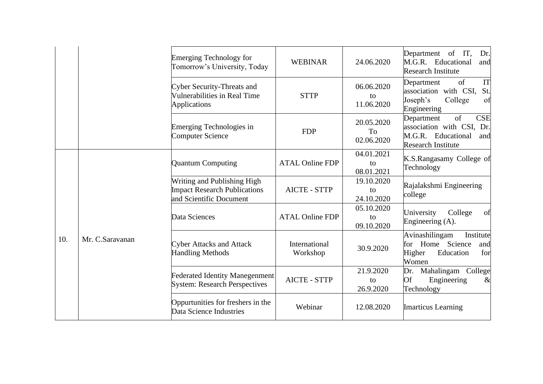|     |                 | <b>Emerging Technology for</b><br>Tomorrow's University, Today                                | <b>WEBINAR</b>            | 24.06.2020                     | of IT,<br>Department<br>Dr.<br>M.G.R. Educational<br>and<br><b>Research Institute</b>                                    |
|-----|-----------------|-----------------------------------------------------------------------------------------------|---------------------------|--------------------------------|--------------------------------------------------------------------------------------------------------------------------|
|     |                 | <b>Cyber Security-Threats and</b><br>Vulnerabilities in Real Time<br><b>Applications</b>      | <b>STTP</b>               | 06.06.2020<br>to<br>11.06.2020 | of<br>IT<br>Department<br>association with CSI,<br>St.<br>College<br>Joseph's<br>of<br>Engineering                       |
|     |                 | Emerging Technologies in<br><b>Computer Science</b>                                           | <b>FDP</b>                | 20.05.2020<br>To<br>02.06.2020 | <b>CSE</b><br>of<br>Department<br>association with CSI,<br>Dr.<br>M.G.R. Educational<br>and<br><b>Research Institute</b> |
|     | Mr. C.Saravanan | <b>Quantum Computing</b>                                                                      | <b>ATAL Online FDP</b>    | 04.01.2021<br>to<br>08.01.2021 | K.S.Rangasamy College of<br>Technology                                                                                   |
|     |                 | Writing and Publishing High<br><b>Impact Research Publications</b><br>and Scientific Document | <b>AICTE - STTP</b>       | 19.10.2020<br>to<br>24.10.2020 | Rajalakshmi Engineering<br>college                                                                                       |
|     |                 | Data Sciences                                                                                 | <b>ATAL Online FDP</b>    | 05.10.2020<br>to<br>09.10.2020 | University<br>College<br>of<br>Engineering (A).                                                                          |
| 10. |                 | <b>Cyber Attacks and Attack</b><br><b>Handling Methods</b>                                    | International<br>Workshop | 30.9.2020                      | Avinashilingam<br>Institute<br>Home Science<br>and<br>for<br>Education<br>Higher<br>for<br>Women                         |
|     |                 | <b>Federated Identity Manegenment</b><br><b>System: Research Perspectives</b>                 | <b>AICTE - STTP</b>       | 21.9.2020<br>to<br>26.9.2020   | Mahalingam College<br>Dr.<br>Of<br>Engineering<br>$\&$<br>Technology                                                     |
|     |                 | Oppurtunities for freshers in the<br>Data Science Industries                                  | Webinar                   | 12.08.2020                     | <b>Imarticus</b> Learning                                                                                                |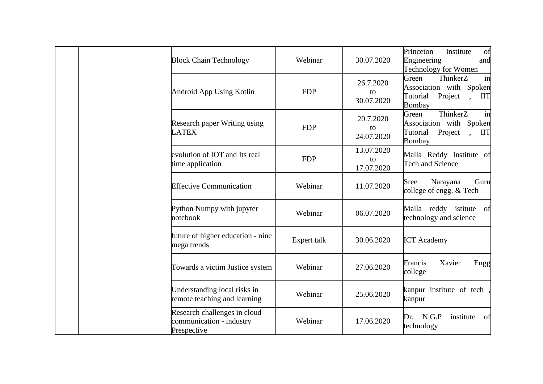| <b>Block Chain Technology</b>                                           |                                     | Webinar     | 30.07.2020                     | Princeton<br>Institute<br>of<br>Engineering<br>and<br><b>Technology for Women</b>                 |
|-------------------------------------------------------------------------|-------------------------------------|-------------|--------------------------------|---------------------------------------------------------------------------------------------------|
| Android App Using Kotlin                                                |                                     | <b>FDP</b>  | 26.7.2020<br>to<br>30.07.2020  | in<br>ThinkerZ<br>Green<br>Association with Spoken<br>Tutorial<br>Project<br><b>IIT</b><br>Bombay |
| <b>LATEX</b>                                                            | <b>Research paper Writing using</b> | <b>FDP</b>  | 20.7.2020<br>to<br>24.07.2020  | ThinkerZ<br>in<br>Green<br>Association with Spoken<br>Tutorial<br>Project<br>ШT<br>Bombay         |
| evolution of IOT and Its real<br>time application                       |                                     | <b>FDP</b>  | 13.07.2020<br>to<br>17.07.2020 | Malla Reddy Institute of<br><b>Tech and Science</b>                                               |
| <b>Effective Communication</b>                                          |                                     | Webinar     | 11.07.2020                     | Guru<br><b>Sree</b><br>Narayana<br>college of engg. & Tech                                        |
| Python Numpy with jupyter<br>notebook                                   |                                     | Webinar     | 06.07.2020                     | Malla reddy istitute of<br>technology and science                                                 |
| mega trends                                                             | future of higher education - nine   | Expert talk | 30.06.2020                     | <b>ICT</b> Academy                                                                                |
|                                                                         | Towards a victim Justice system     | Webinar     | 27.06.2020                     | Xavier<br>Francis<br>Engg<br>college                                                              |
| Understanding local risks in                                            | remote teaching and learning        | Webinar     | 25.06.2020                     | kanpur institute of tech<br>kanpur                                                                |
| Research challenges in cloud<br>communication - industry<br>Prespective |                                     | Webinar     | 17.06.2020                     | N.G.P<br>institute<br>Dr.<br>of<br>technology                                                     |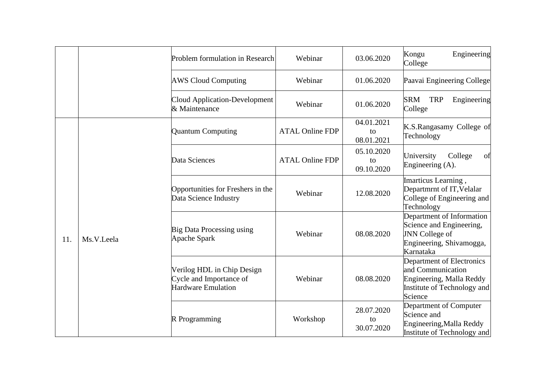|     |            | Problem formulation in Research                                             | Webinar                | 03.06.2020                     | Kongu<br>Engineering<br>College                                                                                         |
|-----|------------|-----------------------------------------------------------------------------|------------------------|--------------------------------|-------------------------------------------------------------------------------------------------------------------------|
|     |            | <b>AWS Cloud Computing</b>                                                  | Webinar                | 01.06.2020                     | Paavai Engineering College                                                                                              |
|     |            | <b>Cloud Application-Development</b><br>& Maintenance                       | Webinar                | 01.06.2020                     | <b>SRM</b><br><b>TRP</b><br>Engineering<br>College                                                                      |
|     |            | <b>Quantum Computing</b>                                                    | <b>ATAL Online FDP</b> | 04.01.2021<br>to<br>08.01.2021 | K.S.Rangasamy College of<br>Technology                                                                                  |
| 11. | Ms.V.Leela | Data Sciences                                                               | <b>ATAL Online FDP</b> | 05.10.2020<br>to<br>09.10.2020 | College<br>University<br>of<br>Engineering (A).                                                                         |
|     |            | Opportunities for Freshers in the<br>Data Science Industry                  | Webinar                | 12.08.2020                     | Imarticus Learning,<br>Departmrnt of IT, Velalar<br>College of Engineering and<br>Technology                            |
|     |            | Big Data Processing using<br>Apache Spark                                   | Webinar                | 08.08.2020                     | Department of Information<br>Science and Engineering,<br><b>JNN</b> College of<br>Engineering, Shivamogga,<br>Karnataka |
|     |            | Verilog HDL in Chip Design<br>Cycle and Importance of<br>Hardware Emulation | Webinar                | 08.08.2020                     | Department of Electronics<br>and Communication<br>Engineering, Malla Reddy<br>Institute of Technology and<br>Science    |
|     |            | R Programming                                                               | Workshop               | 28.07.2020<br>to<br>30.07.2020 | Department of Computer<br>Science and<br>Engineering, Malla Reddy<br>Institute of Technology and                        |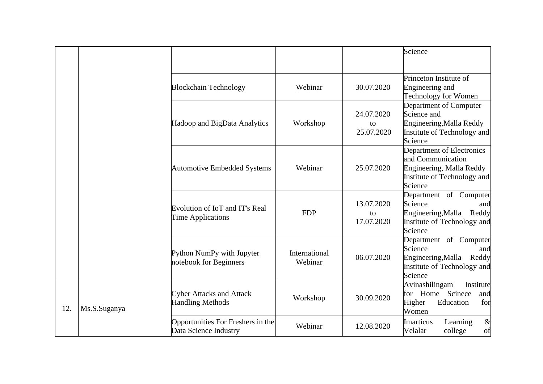|     |              |                                                            |                          |                                | Science                                                                                                              |
|-----|--------------|------------------------------------------------------------|--------------------------|--------------------------------|----------------------------------------------------------------------------------------------------------------------|
|     |              |                                                            |                          |                                |                                                                                                                      |
|     |              | <b>Blockchain Technology</b>                               | Webinar                  | 30.07.2020                     | Princeton Institute of<br>Engineering and<br><b>Technology for Women</b>                                             |
|     |              | Hadoop and BigData Analytics                               | Workshop                 | 24.07.2020<br>to<br>25.07.2020 | Department of Computer<br>Science and<br>Engineering, Malla Reddy<br>Institute of Technology and<br>Science          |
|     |              | <b>Automotive Embedded Systems</b>                         | Webinar                  | 25.07.2020                     | Department of Electronics<br>and Communication<br>Engineering, Malla Reddy<br>Institute of Technology and<br>Science |
|     |              | Evolution of IoT and IT's Real<br><b>Time Applications</b> | <b>FDP</b>               | 13.07.2020<br>to<br>17.07.2020 | Department of Computer<br>Science<br>and<br>Engineering, Malla Reddy<br>Institute of Technology and<br>Science       |
|     |              | Python NumPy with Jupyter<br>notebook for Beginners        | International<br>Webinar | 06.07.2020                     | Department of Computer<br>Science<br>and<br>Engineering, Malla<br>Reddy<br>Institute of Technology and<br>Science    |
| 12. | Ms.S.Suganya | <b>Cyber Attacks and Attack</b><br><b>Handling Methods</b> | Workshop                 | 30.09.2020                     | Avinashilingam<br>Institute<br>for Home Scinece<br>and<br>Higher<br>Education<br>for<br>Women                        |
|     |              | Opportunities For Freshers in the<br>Data Science Industry | Webinar                  | 12.08.2020                     | $\&$<br>Imarticus<br>Learning<br>college<br>Velalar<br>of                                                            |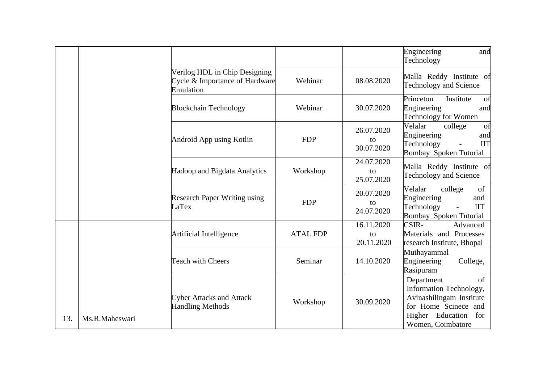|     |                |                                                                              |                 |                                | Engineering<br>and<br>Technology                                                                                                             |
|-----|----------------|------------------------------------------------------------------------------|-----------------|--------------------------------|----------------------------------------------------------------------------------------------------------------------------------------------|
|     |                | Verilog HDL in Chip Designing<br>Cycle & Importance of Hardware<br>Emulation | Webinar         | 08.08.2020                     | Malla Reddy Institute of<br>Technology and Science                                                                                           |
|     |                | <b>Blockchain Technology</b>                                                 | Webinar         | 30.07.2020                     | Princeton<br>Institute<br>of<br>Engineering<br>and<br><b>Technology for Women</b>                                                            |
|     |                | Android App using Kotlin                                                     | <b>FDP</b>      | 26.07.2020<br>to<br>30.07.2020 | Velalar<br>college<br>of<br>Engineering<br>and<br><b>IIT</b><br>Technology<br>Bombay_Spoken Tutorial                                         |
|     |                | Hadoop and Bigdata Analytics                                                 | Workshop        | 24.07.2020<br>to<br>25.07.2020 | Malla Reddy Institute of<br>Technology and Science                                                                                           |
|     |                | <b>Research Paper Writing using</b><br>LaTex                                 | <b>FDP</b>      | 20.07.2020<br>to<br>24.07.2020 | Velalar<br>of<br>college<br>Engineering<br>and<br><b>IIT</b><br>Technology<br>$\overline{\phantom{0}}$<br>Bombay_Spoken Tutorial             |
|     |                | Artificial Intelligence                                                      | <b>ATAL FDP</b> | 16.11.2020<br>to<br>20.11.2020 | CSIR-<br>Advanced<br>Materials and Processes<br>research Institute, Bhopal                                                                   |
|     |                | <b>Teach with Cheers</b>                                                     | Seminar         | 14.10.2020                     | Muthayammal<br>Engineering<br>College,<br>Rasipuram                                                                                          |
| 13. | Ms.R.Maheswari | <b>Cyber Attacks and Attack</b><br><b>Handling Methods</b>                   | Workshop        | 30.09.2020                     | of<br>Department<br>Information Technology,<br>Avinashilingam Institute<br>for Home Scinece and<br>Higher Education for<br>Women, Coimbatore |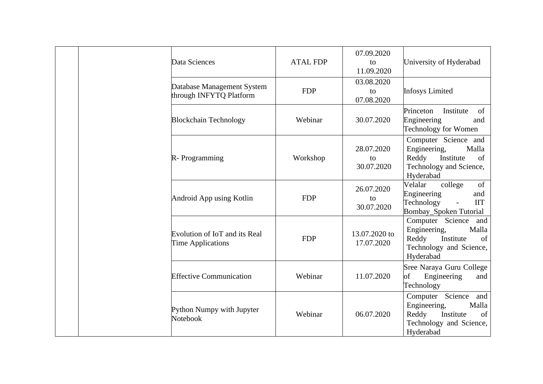|  | Data Sciences | <b>ATAL FDP</b>                                           | 07.09.2020<br>to<br>11.09.2020 | University of Hyderabad        |                                                                                                                       |
|--|---------------|-----------------------------------------------------------|--------------------------------|--------------------------------|-----------------------------------------------------------------------------------------------------------------------|
|  |               | Database Management System<br>through INFYTQ Platform     | <b>FDP</b>                     | 03.08.2020<br>to<br>07.08.2020 | <b>Infosys Limited</b>                                                                                                |
|  |               | <b>Blockchain Technology</b>                              | Webinar                        | 30.07.2020                     | Institute<br>Princeton<br>of<br>Engineering<br>and<br>Technology for Women                                            |
|  |               | R-Programming                                             | Workshop                       | 28.07.2020<br>to<br>30.07.2020 | Computer Science and<br>Engineering,<br>Malla<br>Reddy<br>Institute<br>of<br>Technology and Science,<br>Hyderabad     |
|  |               | Android App using Kotlin                                  | <b>FDP</b>                     | 26.07.2020<br>to<br>30.07.2020 | Velalar<br>college<br>of<br>Engineering<br>and<br>Technology<br><b>IIT</b><br>$\frac{1}{2}$<br>Bombay_Spoken Tutorial |
|  |               | Evolution of IoT and its Real<br><b>Time Applications</b> | <b>FDP</b>                     | 13.07.2020 to<br>17.07.2020    | Computer Science and<br>Engineering,<br>Malla<br>Reddy<br>Institute<br>of<br>Technology and Science,<br>Hyderabad     |
|  |               | <b>Effective Communication</b>                            | Webinar                        | 11.07.2020                     | Sree Naraya Guru College<br>Engineering<br>$\mathrm{of}$<br>and<br>Technology                                         |
|  |               | Python Numpy with Jupyter<br>Notebook                     | Webinar                        | 06.07.2020                     | Computer Science<br>and<br>Engineering,<br>Malla<br>Reddy<br>Institute<br>of<br>Technology and Science,<br>Hyderabad  |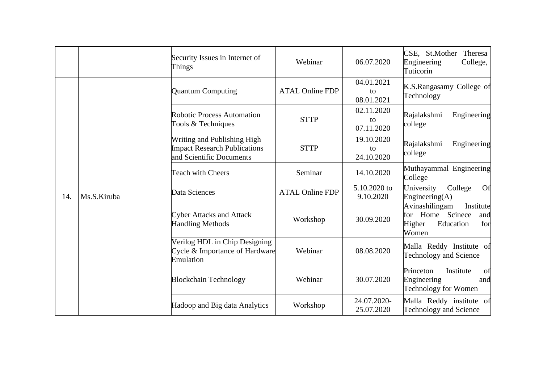|     |             | Security Issues in Internet of<br>Things                                                       | Webinar                | 06.07.2020                     | CSE, St.Mother<br>Theresa<br>College,<br>Engineering<br>Tuticorin                             |
|-----|-------------|------------------------------------------------------------------------------------------------|------------------------|--------------------------------|-----------------------------------------------------------------------------------------------|
|     |             | <b>Quantum Computing</b>                                                                       | <b>ATAL Online FDP</b> | 04.01.2021<br>to<br>08.01.2021 | K.S.Rangasamy College of<br>Technology                                                        |
|     | Ms.S.Kiruba | <b>Robotic Process Automation</b><br>Tools & Techniques                                        | <b>STTP</b>            | 02.11.2020<br>to<br>07.11.2020 | Rajalakshmi<br>Engineering<br>college                                                         |
|     |             | Writing and Publishing High<br><b>Impact Research Publications</b><br>and Scientific Documents | <b>STTP</b>            | 19.10.2020<br>to<br>24.10.2020 | Rajalakshmi<br>Engineering<br>college                                                         |
|     |             | <b>Teach with Cheers</b>                                                                       | Seminar                | 14.10.2020                     | Muthayammal Engineering<br>College                                                            |
| 14. |             | Data Sciences                                                                                  | <b>ATAL Online FDP</b> | 5.10.2020 to<br>9.10.2020      | University<br>College<br>Of<br>Engineering $(A)$                                              |
|     |             | <b>Cyber Attacks and Attack</b><br><b>Handling Methods</b>                                     | Workshop               | 30.09.2020                     | Avinashilingam<br>Institute<br>for Home Scinece<br>and<br>Education<br>Higher<br>for<br>Women |
|     |             | Verilog HDL in Chip Designing<br>Cycle & Importance of Hardware<br>Emulation                   | Webinar                | 08.08.2020                     | Malla Reddy Institute of<br>Technology and Science                                            |
|     |             | <b>Blockchain Technology</b>                                                                   | Webinar                | 30.07.2020                     | Princeton<br>Institute<br>of<br>Engineering<br>and<br>Technology for Women                    |
|     |             | Hadoop and Big data Analytics                                                                  | Workshop               | 24.07.2020-<br>25.07.2020      | Malla Reddy institute of<br>Technology and Science                                            |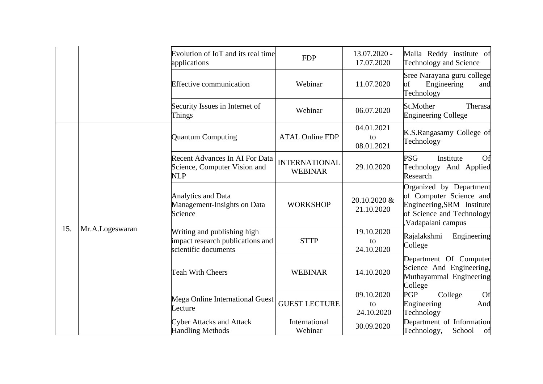|     |                                                                                                                                     | Evolution of IoT and its real time<br>applications                    | <b>FDP</b>                             | 13.07.2020 -<br>17.07.2020     | Malla Reddy institute of<br>Technology and Science                                                                                 |
|-----|-------------------------------------------------------------------------------------------------------------------------------------|-----------------------------------------------------------------------|----------------------------------------|--------------------------------|------------------------------------------------------------------------------------------------------------------------------------|
|     |                                                                                                                                     | <b>Effective communication</b>                                        | Webinar                                | 11.07.2020                     | Sree Narayana guru college<br>Engineering<br>of<br>and<br>Technology                                                               |
|     |                                                                                                                                     | Security Issues in Internet of<br>Things                              | Webinar                                | 06.07.2020                     | St.Mother<br>Therasa<br><b>Engineering College</b>                                                                                 |
|     |                                                                                                                                     | <b>Quantum Computing</b>                                              | <b>ATAL Online FDP</b>                 | 04.01.2021<br>to<br>08.01.2021 | K.S.Rangasamy College of<br>Technology                                                                                             |
| 15. | <b>NLP</b><br><b>Analytics and Data</b><br>Science<br>Mr.A.Logeswaran<br>scientific documents<br><b>Teah With Cheers</b><br>Lecture | <b>Recent Advances In AI For Data</b><br>Science, Computer Vision and | <b>INTERNATIONAL</b><br><b>WEBINAR</b> | 29.10.2020                     | <b>PSG</b><br>Institute<br>Of<br>Technology And Applied<br>Research                                                                |
|     |                                                                                                                                     | Management-Insights on Data                                           | <b>WORKSHOP</b>                        | 20.10.2020 &<br>21.10.2020     | Organized by Department<br>of Computer Science and<br>Engineering, SRM Institute<br>of Science and Technology<br>Vadapalani campus |
|     |                                                                                                                                     | Writing and publishing high<br>impact research publications and       | <b>STTP</b>                            | 19.10.2020<br>to<br>24.10.2020 | Rajalakshmi<br>Engineering<br>College                                                                                              |
|     |                                                                                                                                     |                                                                       | <b>WEBINAR</b>                         | 14.10.2020                     | Department Of Computer<br>Science And Engineering,<br>Muthayammal Engineering<br>College                                           |
|     |                                                                                                                                     | Mega Online International Guest                                       | <b>GUEST LECTURE</b>                   | 09.10.2020<br>to<br>24.10.2020 | <b>PGP</b><br>College<br>Of<br>Engineering<br>And<br>Technology                                                                    |
|     |                                                                                                                                     | <b>Cyber Attacks and Attack</b><br><b>Handling Methods</b>            | International<br>Webinar               | 30.09.2020                     | Department of Information<br>Technology,<br>School<br>of                                                                           |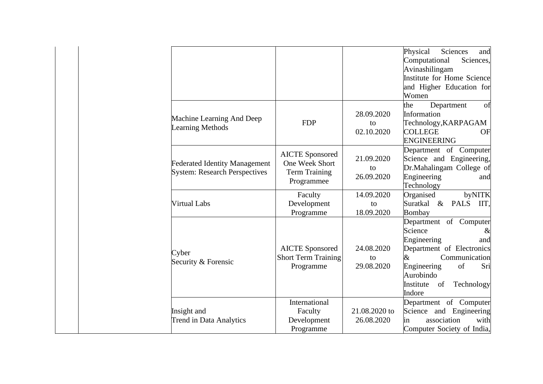|                                      |                                    |                  | Physical<br>Sciences<br>and   |
|--------------------------------------|------------------------------------|------------------|-------------------------------|
|                                      |                                    |                  | Sciences,<br>Computational    |
|                                      |                                    |                  | Avinashilingam                |
|                                      |                                    |                  | Institute for Home Science    |
|                                      |                                    |                  | and Higher Education for      |
|                                      |                                    |                  | Women                         |
|                                      |                                    |                  | Department<br>the<br>of       |
| Machine Learning And Deep            |                                    | 28.09.2020       | Information                   |
| <b>Learning Methods</b>              | <b>FDP</b>                         | to               | Technology, KARPAGAM          |
|                                      |                                    | 02.10.2020       | <b>COLLEGE</b><br>OF          |
|                                      |                                    |                  | <b>ENGINEERING</b>            |
|                                      | <b>AICTE</b> Sponsored             |                  | Department of Computer        |
| <b>Federated Identity Management</b> | One Week Short                     | 21.09.2020       | Science and Engineering,      |
| <b>System: Research Perspectives</b> | <b>Term Training</b><br>Programmee | to<br>26.09.2020 | Dr.Mahalingam College of      |
|                                      |                                    |                  | Engineering<br>and            |
|                                      |                                    |                  | Technology                    |
|                                      | Faculty                            | 14.09.2020       | Organised<br>byNITK           |
| <b>Virtual Labs</b>                  | Development                        | to               | PALS IIT.<br>Suratkal &       |
|                                      | Programme                          | 18.09.2020       | Bombay                        |
|                                      |                                    |                  | Department of Computer        |
|                                      |                                    |                  | Science<br>$\&$               |
|                                      |                                    |                  | Engineering<br>and            |
| Cyber                                | <b>AICTE</b> Sponsored             | 24.08.2020       | Department of Electronics     |
| Security & Forensic                  | <b>Short Term Training</b>         | to               | $\&$<br>Communication         |
|                                      | Programme                          | 29.08.2020       | Engineering<br>of<br>Sri      |
|                                      |                                    |                  | Aurobindo                     |
|                                      |                                    |                  | Institute<br>of<br>Technology |
|                                      |                                    |                  | Indore                        |
|                                      | International                      |                  | Department of Computer        |
| Insight and                          | Faculty                            | 21.08.2020 to    | Science and Engineering       |
| Trend in Data Analytics              | Development                        | 26.08.2020       | association<br>with<br>in     |
|                                      | Programme                          |                  | Computer Society of India,    |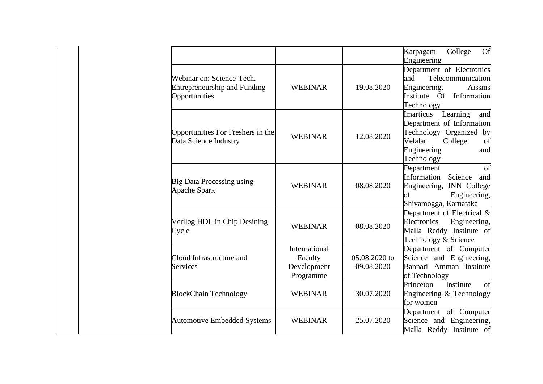|                                                                                   |                                                      |                             | College<br>Of<br>Karpagam<br>Engineering                                                                                                                |
|-----------------------------------------------------------------------------------|------------------------------------------------------|-----------------------------|---------------------------------------------------------------------------------------------------------------------------------------------------------|
| Webinar on: Science-Tech.<br><b>Entrepreneurship and Funding</b><br>Opportunities | <b>WEBINAR</b>                                       | 19.08.2020                  | Department of Electronics<br>and<br>Telecommunication<br>Engineering,<br>Aissms<br>Institute Of Information<br>Technology                               |
| Opportunities For Freshers in the<br>Data Science Industry                        | <b>WEBINAR</b>                                       | 12.08.2020                  | Imarticus<br>Learning<br>and<br>Department of Information<br>Technology Organized<br>by<br>Velalar<br>College<br>of<br>Engineering<br>and<br>Technology |
| <b>Big Data Processing using</b><br>Apache Spark                                  | <b>WEBINAR</b>                                       | 08.08.2020                  | Department<br>of<br>Information<br>Science<br>and<br>Engineering, JNN College<br>Engineering,<br>of<br>Shivamogga, Karnataka                            |
| Verilog HDL in Chip Desining<br>Cycle                                             | <b>WEBINAR</b>                                       | 08.08.2020                  | Department of Electrical $\&$<br>Electronics<br>Engineering,<br>Malla Reddy Institute of<br>Technology & Science                                        |
| Cloud Infrastructure and<br><b>Services</b>                                       | International<br>Faculty<br>Development<br>Programme | 05.08.2020 to<br>09.08.2020 | Department of Computer<br>Science and Engineering,<br>Bannari Amman Institute<br>of Technology                                                          |
| <b>BlockChain Technology</b>                                                      | <b>WEBINAR</b>                                       | 30.07.2020                  | Princeton<br>Institute<br>of<br>Engineering & Technology<br>for women                                                                                   |
| <b>Automotive Embedded Systems</b>                                                | <b>WEBINAR</b>                                       | 25.07.2020                  | Department of Computer<br>Science and Engineering,<br>Malla Reddy Institute of                                                                          |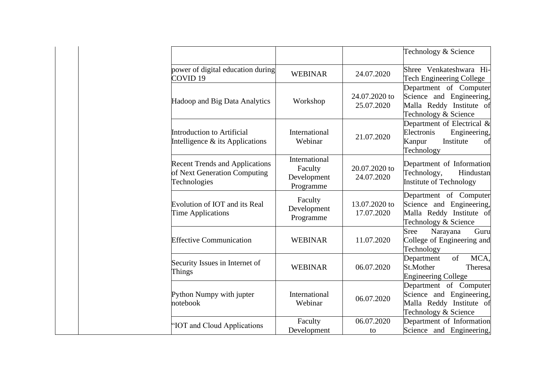|                                                                                       |                                                      |                             | Technology & Science                                                                                   |
|---------------------------------------------------------------------------------------|------------------------------------------------------|-----------------------------|--------------------------------------------------------------------------------------------------------|
| power of digital education during<br>COVID <sub>19</sub>                              | <b>WEBINAR</b>                                       | 24.07.2020                  | Shree Venkateshwara Hi-<br><b>Tech Engineering College</b>                                             |
| Hadoop and Big Data Analytics                                                         | Workshop                                             | 24.07.2020 to<br>25.07.2020 | Department of Computer<br>Science and Engineering,<br>Malla Reddy Institute of<br>Technology & Science |
| Introduction to Artificial<br>Intelligence & its Applications                         | International<br>Webinar                             | 21.07.2020                  | Department of Electrical $\&$<br>Electronis<br>Engineering,<br>Kanpur<br>Institute<br>of<br>Technology |
| <b>Recent Trends and Applications</b><br>of Next Generation Computing<br>Technologies | International<br>Faculty<br>Development<br>Programme | 20.07.2020 to<br>24.07.2020 | Department of Information<br>Technology,<br>Hindustan<br>Institute of Technology                       |
| Evolution of IOT and its Real<br><b>Time Applications</b>                             | Faculty<br>Development<br>Programme                  | 13.07.2020 to<br>17.07.2020 | Department of Computer<br>Science and Engineering,<br>Malla Reddy Institute of<br>Technology & Science |
| <b>Effective Communication</b>                                                        | <b>WEBINAR</b>                                       | 11.07.2020                  | Sree<br>Narayana<br>Guru<br>College of Engineering and<br>Technology                                   |
| Security Issues in Internet of<br>Things                                              | <b>WEBINAR</b>                                       | 06.07.2020                  | of<br>MCA,<br>Department<br>St.Mother<br>Theresa<br><b>Engineering College</b>                         |
| Python Numpy with jupter<br>notebook                                                  | International<br>Webinar                             | 06.07.2020                  | Department of Computer<br>Science and Engineering,<br>Malla Reddy Institute of<br>Technology & Science |
| "IOT and Cloud Applications                                                           | Faculty<br>Development                               | 06.07.2020<br>to            | Department of Information<br>Science and Engineering,                                                  |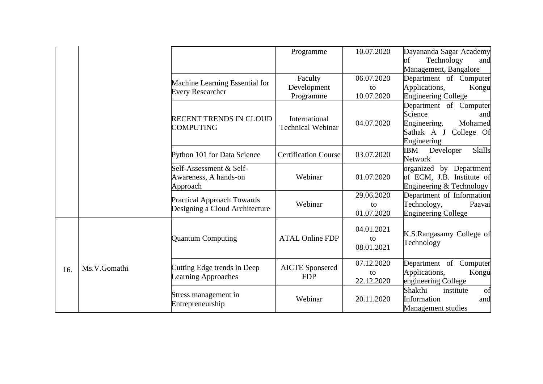|     |              |                                                                     | Programme                                 | 10.07.2020                     | Dayananda Sagar Academy                                                                                        |
|-----|--------------|---------------------------------------------------------------------|-------------------------------------------|--------------------------------|----------------------------------------------------------------------------------------------------------------|
|     |              |                                                                     |                                           |                                | Technology<br>of<br>and                                                                                        |
|     |              |                                                                     | Faculty                                   | 06.07.2020                     | Management, Bangalore<br>Department of Computer                                                                |
|     |              | Machine Learning Essential for                                      | Development                               | to                             | Applications,<br>Kongu                                                                                         |
|     |              | <b>Every Researcher</b>                                             | Programme                                 | 10.07.2020                     | <b>Engineering College</b>                                                                                     |
|     |              | RECENT TRENDS IN CLOUD<br><b>COMPUTING</b>                          | International<br><b>Technical Webinar</b> | 04.07.2020                     | Department of Computer<br>Science<br>and<br>Engineering,<br>Mohamed<br>Sathak A J<br>College Of<br>Engineering |
|     |              | Python 101 for Data Science                                         | <b>Certification Course</b>               | 03.07.2020                     | IBM<br>Developer<br>Skills<br>Network                                                                          |
|     |              | Self-Assessment & Self-<br>Awareness, A hands-on<br>Approach        | Webinar                                   | 01.07.2020                     | organized by Department<br>of ECM, J.B. Institute of<br>Engineering & Technology                               |
|     |              | <b>Practical Approach Towards</b><br>Designing a Cloud Architecture | Webinar                                   | 29.06.2020<br>to<br>01.07.2020 | Department of Information<br>Technology,<br>Paavai<br><b>Engineering College</b>                               |
|     |              | <b>Quantum Computing</b>                                            | <b>ATAL Online FDP</b>                    | 04.01.2021<br>to<br>08.01.2021 | K.S.Rangasamy College of<br>Technology                                                                         |
| 16. | Ms.V.Gomathi | Cutting Edge trends in Deep<br>Learning Approaches                  | <b>AICTE</b> Sponsered<br><b>FDP</b>      | 07.12.2020<br>to<br>22.12.2020 | Department of Computer<br>Applications,<br>Kongu<br>engineering College                                        |
|     |              | Stress management in<br>Entrepreneurship                            | Webinar                                   | 20.11.2020                     | Shakthi<br>institute<br>of<br>Information<br>and<br>Management studies                                         |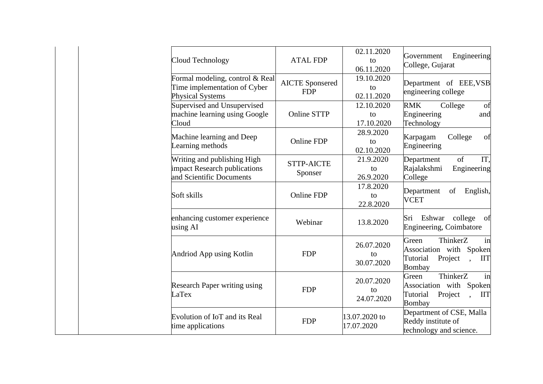| Cloud Technology                                                                           | <b>ATAL FDP</b>                      | 02.11.2020<br>to<br>06.11.2020 | Engineering<br>Government<br>College, Gujarat                                                     |
|--------------------------------------------------------------------------------------------|--------------------------------------|--------------------------------|---------------------------------------------------------------------------------------------------|
| Formal modeling, control & Real<br>Time implementation of Cyber<br><b>Physical Systems</b> | <b>AICTE</b> Sponsered<br><b>FDP</b> | 19.10.2020<br>to<br>02.11.2020 | Department of EEE, VSB<br>engineering college                                                     |
| Supervised and Unsupervised<br>machine learning using Google<br>Cloud                      | <b>Online STTP</b>                   | 12.10.2020<br>to<br>17.10.2020 | <b>RMK</b><br>College<br>of<br>Engineering<br>and<br>Technology                                   |
| Machine learning and Deep<br>Learning methods                                              | <b>Online FDP</b>                    | 28.9.2020<br>to<br>02.10.2020  | Karpagam<br>College<br>of<br>Engineering                                                          |
| Writing and publishing High<br>impact Research publications<br>and Scientific Documents    | <b>STTP-AICTE</b><br>Sponser         | 21.9.2020<br>to<br>26.9.2020   | of<br>IT.<br>Department<br>Rajalakshmi<br>Engineering<br>College                                  |
| Soft skills                                                                                | <b>Online FDP</b>                    | 17.8.2020<br>to<br>22.8.2020   | Department<br>English,<br>of<br><b>VCET</b>                                                       |
| enhancing customer experience<br>using AI                                                  | Webinar                              | 13.8.2020                      | Eshwar college<br>Sri<br>of<br>Engineering, Coimbatore                                            |
| Andriod App using Kotlin                                                                   | <b>FDP</b>                           | 26.07.2020<br>to<br>30.07.2020 | ThinkerZ<br>in<br>Green<br>Association with Spoken<br>Tutorial<br>Project<br><b>IIT</b><br>Bombay |
| Research Paper writing using<br>LaTex                                                      | <b>FDP</b>                           | 20.07.2020<br>to<br>24.07.2020 | ThinkerZ<br>Green<br>in<br>Association with Spoken<br>Tutorial<br>Project<br><b>IIT</b><br>Bombay |
| Evolution of IoT and its Real<br>time applications                                         | <b>FDP</b>                           | 13.07.2020 to<br>17.07.2020    | Department of CSE, Malla<br>Reddy institute of<br>technology and science.                         |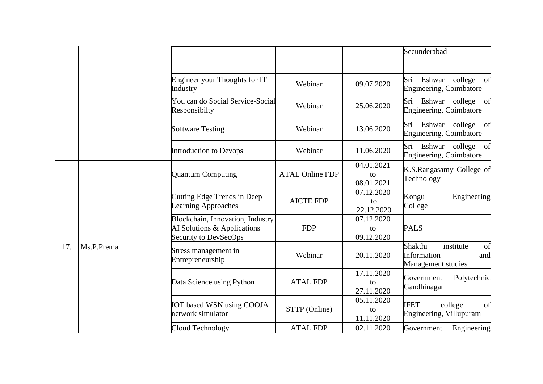|     |            |                                                                                          |                        |                                | Secunderabad                                                           |
|-----|------------|------------------------------------------------------------------------------------------|------------------------|--------------------------------|------------------------------------------------------------------------|
|     |            | Engineer your Thoughts for IT<br>Industry                                                | Webinar                | 09.07.2020                     | Sri<br>Eshwar college<br>of<br>Engineering, Coimbatore                 |
|     |            | You can do Social Service-Social<br>Responsibilty                                        | Webinar                | 25.06.2020                     | Sri Eshwar college of<br>Engineering, Coimbatore                       |
|     |            | <b>Software Testing</b>                                                                  | Webinar                | 13.06.2020                     | Sri Eshwar college of<br>Engineering, Coimbatore                       |
|     |            | Introduction to Devops                                                                   | Webinar                | 11.06.2020                     | Sri<br>Eshwar college of<br>Engineering, Coimbatore                    |
|     | Ms.P.Prema | <b>Quantum Computing</b>                                                                 | <b>ATAL Online FDP</b> | 04.01.2021<br>to<br>08.01.2021 | K.S.Rangasamy College of<br>Technology                                 |
|     |            | <b>Cutting Edge Trends in Deep</b><br><b>Learning Approaches</b>                         | <b>AICTE FDP</b>       | 07.12.2020<br>to<br>22.12.2020 | Kongu<br>Engineering<br>College                                        |
| 17. |            | Blockchain, Innovation, Industry<br>AI Solutions & Applications<br>Security to DevSecOps | <b>FDP</b>             | 07.12.2020<br>to<br>09.12.2020 | <b>PALS</b>                                                            |
|     |            | Stress management in<br>Entrepreneurship                                                 | Webinar                | 20.11.2020                     | institute<br>Shakthi<br>of<br>Information<br>and<br>Management studies |
|     |            | Data Science using Python                                                                | <b>ATAL FDP</b>        | 17.11.2020<br>to<br>27.11.2020 | Government<br>Polytechnic<br>Gandhinagar                               |
|     |            | IOT based WSN using COOJA<br>network simulator                                           | STTP (Online)          | 05.11.2020<br>to<br>11.11.2020 | <b>IFET</b><br>college<br>of<br>Engineering, Villupuram                |
|     |            | Cloud Technology                                                                         | <b>ATAL FDP</b>        | 02.11.2020                     | Government<br>Engineering                                              |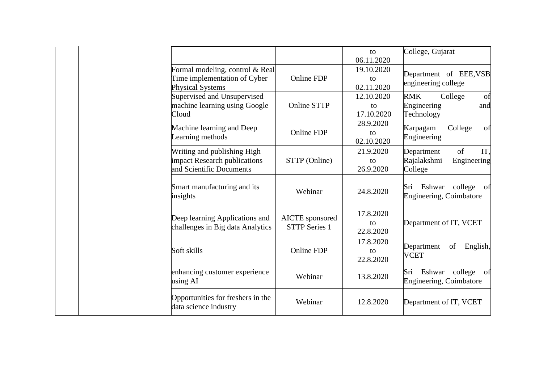|                                                                                            |                                                | to<br>06.11.2020               | College, Gujarat                                                 |
|--------------------------------------------------------------------------------------------|------------------------------------------------|--------------------------------|------------------------------------------------------------------|
| Formal modeling, control & Real<br>Time implementation of Cyber<br><b>Physical Systems</b> | <b>Online FDP</b>                              | 19.10.2020<br>to<br>02.11.2020 | Department of EEE, VSB<br>engineering college                    |
| Supervised and Unsupervised<br>machine learning using Google<br>Cloud                      | <b>Online STTP</b>                             | 12.10.2020<br>to<br>17.10.2020 | RMK<br>College<br>of<br>Engineering<br>and<br>Technology         |
| Machine learning and Deep<br>Learning methods                                              | <b>Online FDP</b>                              | 28.9.2020<br>to<br>02.10.2020  | Karpagam<br>College<br>of<br>Engineering                         |
| Writing and publishing High<br>impact Research publications<br>and Scientific Documents    | STTP (Online)                                  | 21.9.2020<br>to<br>26.9.2020   | of<br>IT.<br>Department<br>Rajalakshmi<br>Engineering<br>College |
| Smart manufacturing and its<br>insights                                                    | Webinar                                        | 24.8.2020                      | Sri Eshwar<br>college<br>of<br>Engineering, Coimbatore           |
| Deep learning Applications and<br>challenges in Big data Analytics                         | <b>AICTE</b> sponsored<br><b>STTP Series 1</b> | 17.8.2020<br>to<br>22.8.2020   | Department of IT, VCET                                           |
| Soft skills                                                                                | <b>Online FDP</b>                              | 17.8.2020<br>to<br>22.8.2020   | Department<br>English,<br>of<br><b>VCET</b>                      |
| enhancing customer experience<br>using AI                                                  | Webinar                                        | 13.8.2020                      | Sri<br>college<br>Eshwar<br>of<br>Engineering, Coimbatore        |
| Opportunities for freshers in the<br>data science industry                                 | Webinar                                        | 12.8.2020                      | Department of IT, VCET                                           |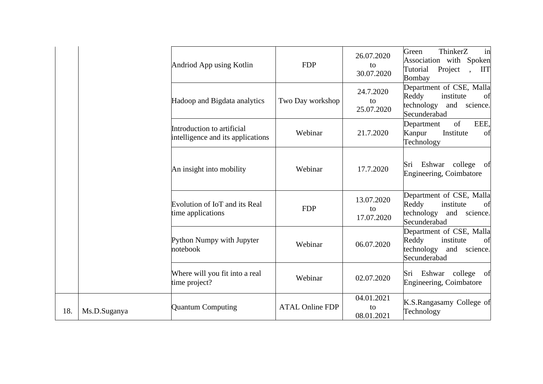|     |              | Andriod App using Kotlin                                        | <b>FDP</b>             | 26.07.2020<br>to<br>30.07.2020 | Green<br>ThinkerZ<br>in<br>Association with Spoken<br>Tutorial<br>Project,<br><b>IIT</b><br>Bombay |
|-----|--------------|-----------------------------------------------------------------|------------------------|--------------------------------|----------------------------------------------------------------------------------------------------|
|     |              | Hadoop and Bigdata analytics                                    | Two Day workshop       | 24.7.2020<br>to<br>25.07.2020  | Department of CSE, Malla<br>Reddy<br>institute<br>of<br>technology<br>and science.<br>Secunderabad |
|     |              | Introduction to artificial<br>intelligence and its applications | Webinar                | 21.7.2020                      | of<br>EEE,<br>Department<br>Institute<br>Kanpur<br>of<br>Technology                                |
|     |              | An insight into mobility                                        | Webinar                | 17.7.2020                      | Sri Eshwar college<br>of<br>Engineering, Coimbatore                                                |
|     |              | Evolution of IoT and its Real<br>time applications              | <b>FDP</b>             | 13.07.2020<br>to<br>17.07.2020 | Department of CSE, Malla<br>Reddy<br>institute<br>of<br>technology<br>and science.<br>Secunderabad |
|     |              | Python Numpy with Jupyter<br>notebook                           | Webinar                | 06.07.2020                     | Department of CSE, Malla<br>Reddy<br>institute<br>of<br>technology<br>and science.<br>Secunderabad |
|     |              | Where will you fit into a real<br>time project?                 | Webinar                | 02.07.2020                     | Sri Eshwar college<br>of<br>Engineering, Coimbatore                                                |
| 18. | Ms.D.Suganya | <b>Quantum Computing</b>                                        | <b>ATAL Online FDP</b> | 04.01.2021<br>to<br>08.01.2021 | K.S.Rangasamy College of<br>Technology                                                             |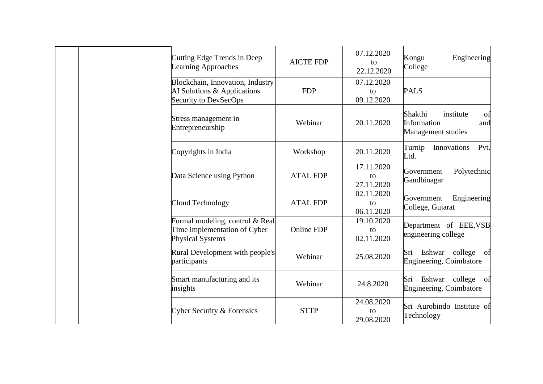| Cutting Edge Trends in Deep<br>Learning Approaches                                         | <b>AICTE FDP</b> | 07.12.2020<br>to<br>22.12.2020 | Engineering<br>Kongu<br>College                                        |
|--------------------------------------------------------------------------------------------|------------------|--------------------------------|------------------------------------------------------------------------|
| Blockchain, Innovation, Industry<br>AI Solutions & Applications<br>Security to DevSecOps   | <b>FDP</b>       | 07.12.2020<br>to<br>09.12.2020 | <b>PALS</b>                                                            |
| Stress management in<br>Entrepreneurship                                                   | Webinar          | 20.11.2020                     | Shakthi<br>institute<br>of<br>Information<br>and<br>Management studies |
| Copyrights in India                                                                        | Workshop         | 20.11.2020                     | Turnip<br>Innovations<br>Pvt.<br>Ltd.                                  |
| Data Science using Python                                                                  | <b>ATAL FDP</b>  | 17.11.2020<br>to<br>27.11.2020 | Government<br>Polytechnic<br>Gandhinagar                               |
| Cloud Technology                                                                           | <b>ATAL FDP</b>  | 02.11.2020<br>to<br>06.11.2020 | Engineering<br>Government<br>College, Gujarat                          |
| Formal modeling, control & Real<br>Time implementation of Cyber<br><b>Physical Systems</b> | Online FDP       | 19.10.2020<br>to<br>02.11.2020 | Department of EEE, VSB<br>engineering college                          |
| Rural Development with people's<br>participants                                            | Webinar          | 25.08.2020                     | Sri Eshwar college of<br>Engineering, Coimbatore                       |
| Smart manufacturing and its<br>insights                                                    | Webinar          | 24.8.2020                      | Sri Eshwar college of<br>Engineering, Coimbatore                       |
| <b>Cyber Security &amp; Forensics</b>                                                      | <b>STTP</b>      | 24.08.2020<br>to<br>29.08.2020 | Sri Aurobindo Institute of<br>Technology                               |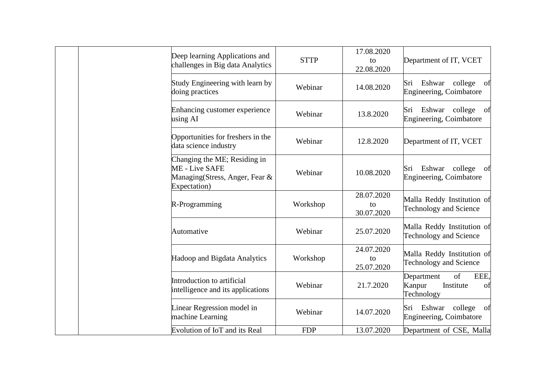| Deep learning Applications and<br>challenges in Big data Analytics                                | <b>STTP</b> | 17.08.2020<br>to<br>22.08.2020 | Department of IT, VCET                                              |
|---------------------------------------------------------------------------------------------------|-------------|--------------------------------|---------------------------------------------------------------------|
| Study Engineering with learn by<br>doing practices                                                | Webinar     | 14.08.2020                     | Sri Eshwar college of<br>Engineering, Coimbatore                    |
| Enhancing customer experience<br>using AI                                                         | Webinar     | 13.8.2020                      | Sri Eshwar college of<br>Engineering, Coimbatore                    |
| Opportunities for freshers in the<br>data science industry                                        | Webinar     | 12.8.2020                      | Department of IT, VCET                                              |
| Changing the ME; Residing in<br>ME - Live SAFE<br>Managing (Stress, Anger, Fear &<br>Expectation) | Webinar     | 10.08.2020                     | Sri Eshwar college of<br>Engineering, Coimbatore                    |
| R-Programming                                                                                     | Workshop    | 28.07.2020<br>to<br>30.07.2020 | Malla Reddy Institution of<br>Technology and Science                |
| Automative                                                                                        | Webinar     | 25.07.2020                     | Malla Reddy Institution of<br>Technology and Science                |
| <b>Hadoop and Bigdata Analytics</b>                                                               | Workshop    | 24.07.2020<br>to<br>25.07.2020 | Malla Reddy Institution of<br>Technology and Science                |
| Introduction to artificial<br>intelligence and its applications                                   | Webinar     | 21.7.2020                      | EEE,<br>of<br>Department<br>Kanpur<br>Institute<br>of<br>Technology |
| Linear Regression model in<br>machine Learning                                                    | Webinar     | 14.07.2020                     | Sri Eshwar college of<br>Engineering, Coimbatore                    |
| Evolution of IoT and its Real                                                                     | <b>FDP</b>  | 13.07.2020                     | Department of CSE, Malla                                            |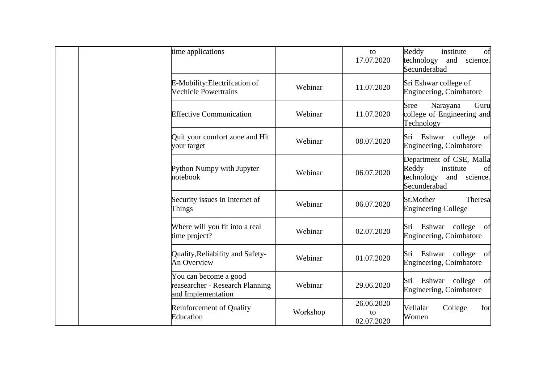|             | time applications                                                              |          | to<br>17.07.2020               | Reddy<br>institute<br>of<br>technology<br>and<br>science.<br>Secunderabad                             |
|-------------|--------------------------------------------------------------------------------|----------|--------------------------------|-------------------------------------------------------------------------------------------------------|
|             | E-Mobility: Electrifcation of<br>Vechicle Powertrains                          | Webinar  | 11.07.2020                     | Sri Eshwar college of<br>Engineering, Coimbatore                                                      |
|             | <b>Effective Communication</b>                                                 | Webinar  | 11.07.2020                     | Narayana<br>Guru<br>Sree<br>college of Engineering and<br>Technology                                  |
| your target | Quit your comfort zone and Hit                                                 | Webinar  | 08.07.2020                     | Sri Eshwar college<br>- of<br>Engineering, Coimbatore                                                 |
| notebook    | Python Numpy with Jupyter                                                      | Webinar  | 06.07.2020                     | Department of CSE, Malla<br>Reddy<br>institute<br>of<br>technology<br>science.<br>and<br>Secunderabad |
| Things      | Security issues in Internet of                                                 | Webinar  | 06.07.2020                     | St.Mother<br>Theresa<br><b>Engineering College</b>                                                    |
|             | Where will you fit into a real<br>time project?                                | Webinar  | 02.07.2020                     | Sri Eshwar college<br>of<br>Engineering, Coimbatore                                                   |
|             | Quality, Reliability and Safety-<br>An Overview                                | Webinar  | 01.07.2020                     | Sri Eshwar college of<br>Engineering, Coimbatore                                                      |
|             | You can become a good<br>reasearcher - Research Planning<br>and Implementation | Webinar  | 29.06.2020                     | Sri Eshwar college<br>of<br>Engineering, Coimbatore                                                   |
| Education   | <b>Reinforcement of Quality</b>                                                | Workshop | 26.06.2020<br>to<br>02.07.2020 | College<br>Vellalar<br>for<br>Women                                                                   |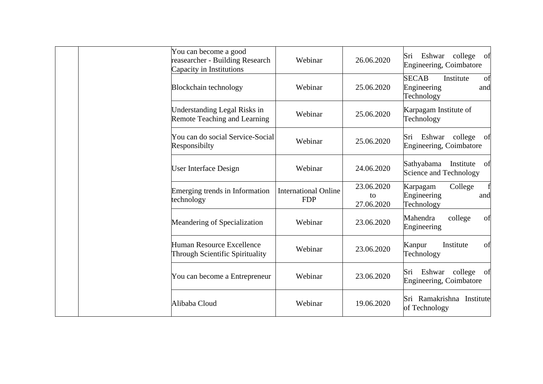| You can become a good<br>reasearcher - Building Research<br>Capacity in Institutions | Webinar                                   | 26.06.2020                     | Sri<br>Eshwar<br>college<br>of<br>Engineering, Coimbatore           |
|--------------------------------------------------------------------------------------|-------------------------------------------|--------------------------------|---------------------------------------------------------------------|
| Blockchain technology                                                                | Webinar                                   | 25.06.2020                     | <b>SECAB</b><br>Institute<br>of<br>Engineering<br>and<br>Technology |
| <b>Understanding Legal Risks in</b><br>Remote Teaching and Learning                  | Webinar                                   | 25.06.2020                     | Karpagam Institute of<br>Technology                                 |
| You can do social Service-Social<br>Responsibilty                                    | Webinar                                   | 25.06.2020                     | Eshwar college<br>Sri<br>- of<br>Engineering, Coimbatore            |
| <b>User Interface Design</b>                                                         | Webinar                                   | 24.06.2020                     | Sathyabama<br>Institute<br>-of<br>Science and Technology            |
| Emerging trends in Information<br>technology                                         | <b>International Online</b><br><b>FDP</b> | 23.06.2020<br>to<br>27.06.2020 | College<br>Karpagam<br>Engineering<br>and<br>Technology             |
| Meandering of Specialization                                                         | Webinar                                   | 23.06.2020                     | college<br>Mahendra<br>of<br>Engineering                            |
| Human Resource Excellence<br>Through Scientific Spirituality                         | Webinar                                   | 23.06.2020                     | Kanpur<br>Institute<br>of<br>Technology                             |
| You can become a Entrepreneur                                                        | Webinar                                   | 23.06.2020                     | Eshwar<br>college<br>Sri<br>of<br>Engineering, Coimbatore           |
| Alibaba Cloud                                                                        | Webinar                                   | 19.06.2020                     | Sri Ramakrishna Institute<br>of Technology                          |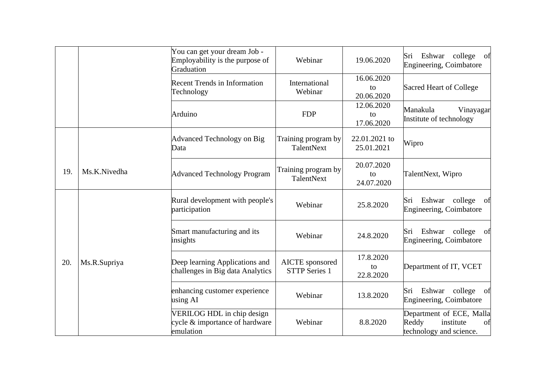|     |              | You can get your dream Job -<br>Employability is the purpose of<br>Graduation | Webinar                                 | 19.06.2020                     | Sri<br>Eshwar college<br>- of<br>Engineering, Coimbatore                        |
|-----|--------------|-------------------------------------------------------------------------------|-----------------------------------------|--------------------------------|---------------------------------------------------------------------------------|
|     |              | <b>Recent Trends in Information</b><br>Technology                             | International<br>Webinar                | 16.06.2020<br>to<br>20.06.2020 | Sacred Heart of College                                                         |
|     |              | Arduino                                                                       | <b>FDP</b>                              | 12.06.2020<br>to<br>17.06.2020 | Manakula<br>Vinayagar<br>Institute of technology                                |
|     |              | Advanced Technology on Big<br>Data                                            | Training program by<br>TalentNext       | 22.01.2021 to<br>25.01.2021    | Wipro                                                                           |
| 19. | Ms.K.Nivedha | <b>Advanced Technology Program</b>                                            | Training program by<br>TalentNext       | 20.07.2020<br>to<br>24.07.2020 | TalentNext, Wipro                                                               |
|     |              | Rural development with people's<br>participation                              | Webinar                                 | 25.8.2020                      | Eshwar college<br>Sri<br>of<br>Engineering, Coimbatore                          |
|     |              | Smart manufacturing and its<br>insights                                       | Webinar                                 | 24.8.2020                      | Eshwar college of<br>Sri<br>Engineering, Coimbatore                             |
| 20. | Ms.R.Supriya | Deep learning Applications and<br>challenges in Big data Analytics            | AICTE sponsored<br><b>STTP Series 1</b> | 17.8.2020<br>to<br>22.8.2020   | Department of IT, VCET                                                          |
|     |              | enhancing customer experience<br>using AI                                     | Webinar                                 | 13.8.2020                      | Sri<br>Eshwar college<br>of<br>Engineering, Coimbatore                          |
|     |              | VERILOG HDL in chip design<br>cycle & importance of hardware<br>emulation     | Webinar                                 | 8.8.2020                       | Department of ECE, Malla<br>Reddy<br>institute<br>of<br>technology and science. |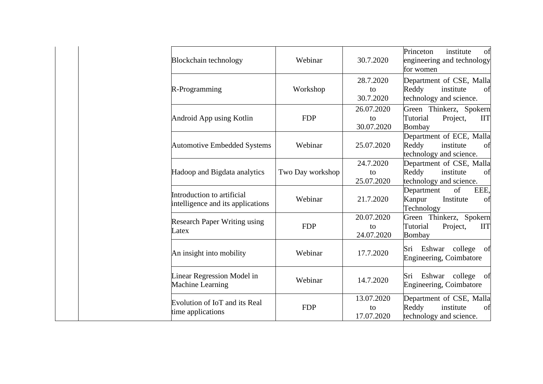| Blockchain technology                                           | Webinar          | 30.7.2020                      | Princeton<br>institute<br>of<br>engineering and technology<br>for women         |
|-----------------------------------------------------------------|------------------|--------------------------------|---------------------------------------------------------------------------------|
| R-Programming                                                   | Workshop         | 28.7.2020<br>to<br>30.7.2020   | Department of CSE, Malla<br>Reddy<br>institute<br>of<br>technology and science. |
| Android App using Kotlin                                        | <b>FDP</b>       | 26.07.2020<br>to<br>30.07.2020 | Green Thinkerz, Spokern<br>Tutorial<br>Project,<br><b>IIT</b><br><b>Bombay</b>  |
| <b>Automotive Embedded Systems</b>                              | Webinar          | 25.07.2020                     | Department of ECE, Malla<br>Reddy<br>institute<br>of<br>technology and science. |
| Hadoop and Bigdata analytics                                    | Two Day workshop | 24.7.2020<br>to<br>25.07.2020  | Department of CSE, Malla<br>Reddy<br>institute<br>of<br>technology and science. |
| Introduction to artificial<br>intelligence and its applications | Webinar          | 21.7.2020                      | Department<br>of<br>EEE,<br>Kanpur<br>Institute<br>of<br>Technology             |
| <b>Research Paper Writing using</b><br>Latex                    | <b>FDP</b>       | 20.07.2020<br>to<br>24.07.2020 | Green Thinkerz, Spokern<br>Tutorial<br>Project,<br><b>IIT</b><br>Bombay         |
| An insight into mobility                                        | Webinar          | 17.7.2020                      | Sri Eshwar<br>college<br>of<br>Engineering, Coimbatore                          |
| Linear Regression Model in<br>Machine Learning                  | Webinar          | 14.7.2020                      | Sri Eshwar college<br>of<br>Engineering, Coimbatore                             |
| Evolution of IoT and its Real<br>time applications              | <b>FDP</b>       | 13.07.2020<br>to<br>17.07.2020 | Department of CSE, Malla<br>Reddy<br>institute<br>of<br>technology and science. |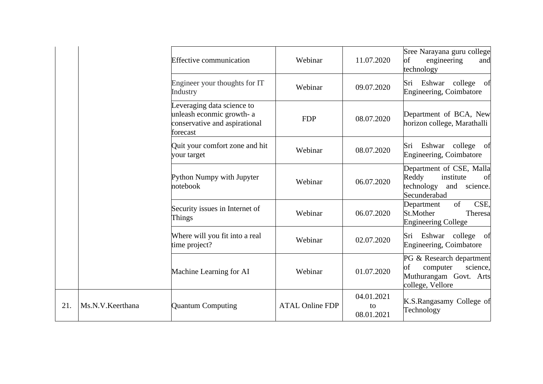|     |                  | <b>Effective communication</b>                                                                       | Webinar                | 11.07.2020                     | Sree Narayana guru college<br>engineering<br>of<br>and<br>technology                                 |
|-----|------------------|------------------------------------------------------------------------------------------------------|------------------------|--------------------------------|------------------------------------------------------------------------------------------------------|
|     |                  | Engineer your thoughts for IT<br>Industry                                                            | Webinar                | 09.07.2020                     | Sri Eshwar college<br>of<br>Engineering, Coimbatore                                                  |
|     |                  | Leveraging data science to<br>unleash econmic growth- a<br>conservative and aspirational<br>forecast | <b>FDP</b>             | 08.07.2020                     | Department of BCA, New<br>horizon college, Marathalli                                                |
|     |                  | Quit your comfort zone and hit<br>your target                                                        | Webinar                | 08.07.2020                     | Sri Eshwar college of<br>Engineering, Coimbatore                                                     |
|     |                  | Python Numpy with Jupyter<br>notebook                                                                | Webinar                | 06.07.2020                     | Department of CSE, Malla<br>institute<br>Reddy<br>of<br>technology<br>and science.<br>Secunderabad   |
|     |                  | Security issues in Internet of<br>Things                                                             | Webinar                | 06.07.2020                     | of<br>CSE,<br>Department<br>St.Mother<br>Theresa<br><b>Engineering College</b>                       |
|     |                  | Where will you fit into a real<br>time project?                                                      | Webinar                | 02.07.2020                     | Sri Eshwar college of<br>Engineering, Coimbatore                                                     |
|     |                  | Machine Learning for AI                                                                              | Webinar                | 01.07.2020                     | PG & Research department<br>of<br>science,<br>computer<br>Muthurangam Govt. Arts<br>college, Vellore |
| 21. | Ms.N.V.Keerthana | <b>Quantum Computing</b>                                                                             | <b>ATAL Online FDP</b> | 04.01.2021<br>to<br>08.01.2021 | K.S.Rangasamy College of<br>Technology                                                               |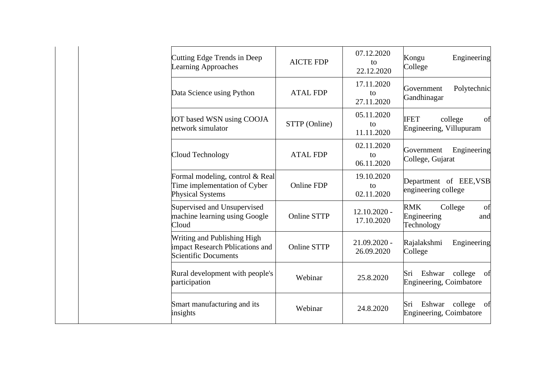| Cutting Edge Trends in Deep<br><b>Learning Approaches</b>                                  | <b>AICTE FDP</b>   | 07.12.2020<br>to<br>22.12.2020 | Kongu<br>Engineering<br>College                                 |
|--------------------------------------------------------------------------------------------|--------------------|--------------------------------|-----------------------------------------------------------------|
| Data Science using Python                                                                  | <b>ATAL FDP</b>    | 17.11.2020<br>to<br>27.11.2020 | Polytechnic<br>Government<br>Gandhinagar                        |
| IOT based WSN using COOJA<br>network simulator                                             | STTP (Online)      | 05.11.2020<br>to<br>11.11.2020 | college<br><b>IFET</b><br>of<br>Engineering, Villupuram         |
| Cloud Technology                                                                           | <b>ATAL FDP</b>    | 02.11.2020<br>to<br>06.11.2020 | Engineering<br>Government<br>College, Gujarat                   |
| Formal modeling, control & Real<br>Time implementation of Cyber<br><b>Physical Systems</b> | <b>Online FDP</b>  | 19.10.2020<br>to<br>02.11.2020 | Department of EEE, VSB<br>engineering college                   |
| Supervised and Unsupervised<br>machine learning using Google<br>Cloud                      | <b>Online STTP</b> | $12.10.2020 -$<br>17.10.2020   | <b>RMK</b><br>College<br>of<br>Engineering<br>and<br>Technology |
| Writing and Publishing High<br>impact Research Pblications and<br>Scientific Documents     | <b>Online STTP</b> | 21.09.2020 -<br>26.09.2020     | Rajalakshmi<br>Engineering<br>College                           |
| Rural development with people's<br>participation                                           | Webinar            | 25.8.2020                      | Eshwar<br>college<br>Sri<br>of<br>Engineering, Coimbatore       |
| Smart manufacturing and its<br>insights                                                    | Webinar            | 24.8.2020                      | college<br>Sri<br>Eshwar<br>of<br>Engineering, Coimbatore       |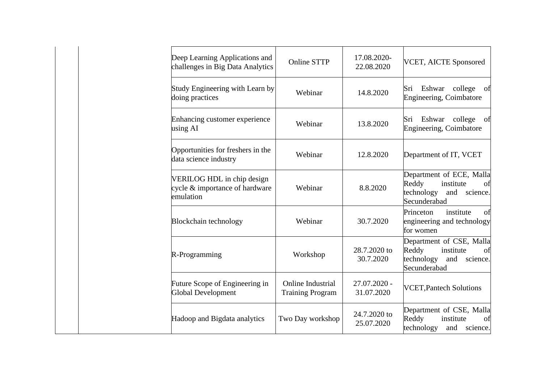| Deep Learning Applications and<br>challenges in Big Data Analytics        | <b>Online STTP</b>                           | 17.08.2020-<br>22.08.2020  | <b>VCET, AICTE Sponsored</b>                                                                          |
|---------------------------------------------------------------------------|----------------------------------------------|----------------------------|-------------------------------------------------------------------------------------------------------|
| Study Engineering with Learn by<br>doing practices                        | Webinar                                      | 14.8.2020                  | Eshwar<br>college<br>Sri<br>of<br>Engineering, Coimbatore                                             |
| Enhancing customer experience<br>using AI                                 | Webinar                                      | 13.8.2020                  | college<br>Sri<br>Eshwar<br>of<br>Engineering, Coimbatore                                             |
| Opportunities for freshers in the<br>data science industry                | Webinar                                      | 12.8.2020                  | Department of IT, VCET                                                                                |
| VERILOG HDL in chip design<br>cycle & importance of hardware<br>emulation | Webinar                                      | 8.8.2020                   | Department of ECE, Malla<br>Reddy<br>institute<br>of<br>technology<br>and science.<br>Secunderabad    |
| Blockchain technology                                                     | Webinar                                      | 30.7.2020                  | Princeton<br>institute<br>of<br>engineering and technology<br>for women                               |
| R-Programming                                                             | Workshop                                     | 28.7.2020 to<br>30.7.2020  | Department of CSE, Malla<br>Reddy<br>institute<br>of<br>technology<br>science.<br>and<br>Secunderabad |
| Future Scope of Engineering in<br><b>Global Development</b>               | Online Industrial<br><b>Training Program</b> | 27.07.2020 -<br>31.07.2020 | <b>VCET, Pantech Solutions</b>                                                                        |
| Hadoop and Bigdata analytics                                              | Two Day workshop                             | 24.7.2020 to<br>25.07.2020 | Department of CSE, Malla<br>Reddy<br>institute<br>of<br>technology<br>and science.                    |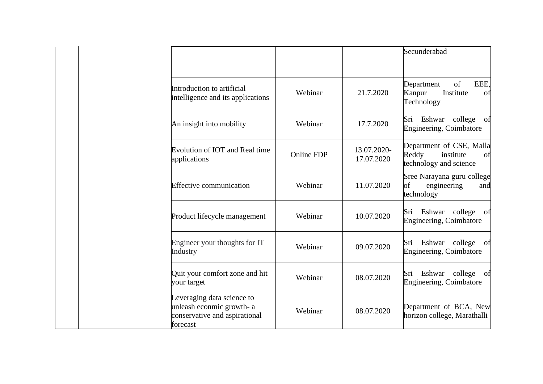|                                                                                                      |                   |                           | Secunderabad                                                                   |
|------------------------------------------------------------------------------------------------------|-------------------|---------------------------|--------------------------------------------------------------------------------|
| Introduction to artificial<br>intelligence and its applications                                      | Webinar           | 21.7.2020                 | of<br>EEE.<br>Department<br>Kanpur<br>Institute<br>of<br>Technology            |
| An insight into mobility                                                                             | Webinar           | 17.7.2020                 | Sri Eshwar<br>college<br>of<br><b>Engineering, Coimbatore</b>                  |
| Evolution of IOT and Real time<br>applications                                                       | <b>Online FDP</b> | 13.07.2020-<br>17.07.2020 | Department of CSE, Malla<br>Reddy<br>institute<br>of<br>technology and science |
| <b>Effective communication</b>                                                                       | Webinar           | 11.07.2020                | Sree Narayana guru college<br>engineering<br>of<br>and<br>technology           |
| Product lifecycle management                                                                         | Webinar           | 10.07.2020                | Eshwar college<br>Sri<br>of<br>Engineering, Coimbatore                         |
| Engineer your thoughts for IT<br>Industry                                                            | Webinar           | 09.07.2020                | Sri<br>Eshwar college<br>of<br><b>Engineering, Coimbatore</b>                  |
| Quit your comfort zone and hit<br>your target                                                        | Webinar           | 08.07.2020                | Eshwar college<br>Sri<br>of<br><b>Engineering, Coimbatore</b>                  |
| Leveraging data science to<br>unleash econmic growth- a<br>conservative and aspirational<br>forecast | Webinar           | 08.07.2020                | Department of BCA, New<br>horizon college, Marathalli                          |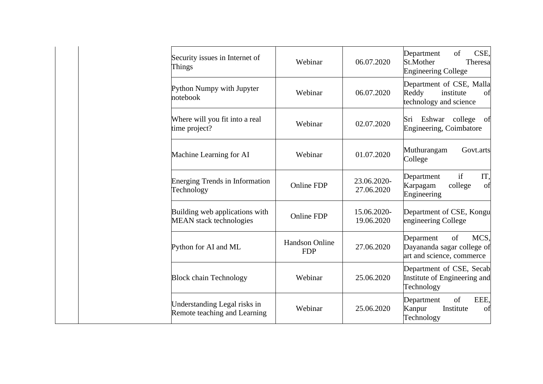| Security issues in Internet of<br>Things                         | Webinar                      | 06.07.2020                | of<br>CSE,<br>Department<br>St.Mother<br>Theresa<br><b>Engineering College</b>     |
|------------------------------------------------------------------|------------------------------|---------------------------|------------------------------------------------------------------------------------|
| Python Numpy with Jupyter<br>notebook                            | Webinar                      | 06.07.2020                | Department of CSE, Malla<br>Reddy<br>institute<br>of<br>technology and science     |
| Where will you fit into a real<br>time project?                  | Webinar                      | 02.07.2020                | Sri<br>Eshwar<br>college<br>of<br>Engineering, Coimbatore                          |
| Machine Learning for AI                                          | Webinar                      | 01.07.2020                | Muthurangam<br>Govt.arts<br>College                                                |
| <b>Energing Trends in Information</b><br>Technology              | <b>Online FDP</b>            | 23.06.2020-<br>27.06.2020 | if<br>IT.<br>Department<br>Karpagam<br>college<br>of<br>Engineering                |
| Building web applications with<br><b>MEAN</b> stack technologies | <b>Online FDP</b>            | 15.06.2020-<br>19.06.2020 | Department of CSE, Kongu<br>engineering College                                    |
| Python for AI and ML                                             | Handson Online<br><b>FDP</b> | 27.06.2020                | of<br>MCS.<br>Deparment<br>Dayananda sagar college of<br>art and science, commerce |
| <b>Block chain Technology</b>                                    | Webinar                      | 25.06.2020                | Department of CSE, Secab<br>Institute of Engineering and<br>Technology             |
| Understanding Legal risks in<br>Remote teaching and Learning     | Webinar                      | 25.06.2020                | of<br>EEE.<br>Department<br>Kanpur<br>Institute<br>of<br>Technology                |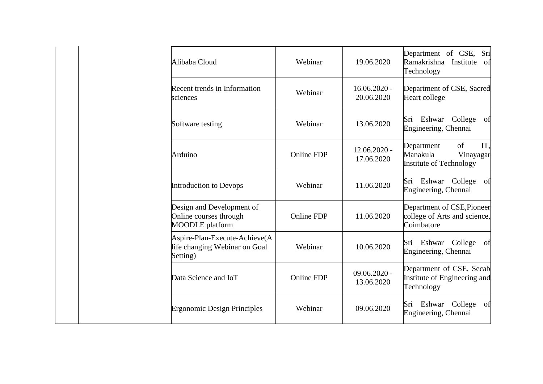| Alibaba Cloud                                                                 | Webinar           | 19.06.2020                   | Department of CSE,<br>Sri<br>Ramakrishna<br>Institute<br>of<br>Technology   |
|-------------------------------------------------------------------------------|-------------------|------------------------------|-----------------------------------------------------------------------------|
| Recent trends in Information<br>sciences                                      | Webinar           | $16.06.2020 -$<br>20.06.2020 | Department of CSE, Sacred<br>Heart college                                  |
| Software testing                                                              | Webinar           | 13.06.2020                   | Eshwar<br>College<br>of<br>Sri<br>Engineering, Chennai                      |
| Arduino                                                                       | <b>Online FDP</b> | $12.06.2020 -$<br>17.06.2020 | of<br>IT.<br>Department<br>Manakula<br>Vinayagar<br>Institute of Technology |
| Introduction to Devops                                                        | Webinar           | 11.06.2020                   | Sri<br>Eshwar<br>College<br>of<br>Engineering, Chennai                      |
| Design and Development of<br>Online courses through<br><b>MOODLE</b> platform | <b>Online FDP</b> | 11.06.2020                   | Department of CSE, Pioneer<br>college of Arts and science,<br>Coimbatore    |
| Aspire-Plan-Execute-Achieve(A<br>life changing Webinar on Goal<br>Setting)    | Webinar           | 10.06.2020                   | Sri Eshwar<br>College<br>of<br>Engineering, Chennai                         |
| Data Science and IoT                                                          | <b>Online FDP</b> | $09.06.2020 -$<br>13.06.2020 | Department of CSE, Secab<br>Institute of Engineering and<br>Technology      |
| <b>Ergonomic Design Principles</b>                                            | Webinar           | 09.06.2020                   | Eshwar<br>College<br>of<br>Sri<br>Engineering, Chennai                      |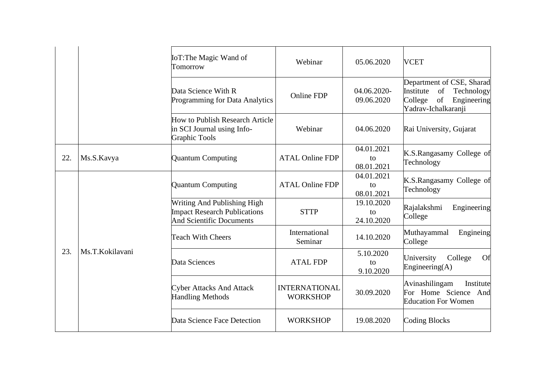|     |                 | IoT: The Magic Wand of<br>Tomorrow                                                                           | Webinar                                 | 05.06.2020                     | <b>VCET</b>                                                                                                       |
|-----|-----------------|--------------------------------------------------------------------------------------------------------------|-----------------------------------------|--------------------------------|-------------------------------------------------------------------------------------------------------------------|
|     |                 | Data Science With R<br>Programming for Data Analytics                                                        | Online FDP                              | 04.06.2020-<br>09.06.2020      | Department of CSE, Sharad<br>of<br>Institute<br>Technology<br>of<br>Engineering<br>College<br>Yadrav-Ichalkaranji |
|     |                 | How to Publish Research Article<br>in SCI Journal using Info-<br><b>Graphic Tools</b>                        | Webinar                                 | 04.06.2020                     | Rai University, Gujarat                                                                                           |
| 22. | Ms.S.Kavya      | <b>Quantum Computing</b>                                                                                     | <b>ATAL Online FDP</b>                  | 04.01.2021<br>to<br>08.01.2021 | K.S.Rangasamy College of<br>Technology                                                                            |
|     | Ms.T.Kokilavani | <b>Quantum Computing</b>                                                                                     | <b>ATAL Online FDP</b>                  | 04.01.2021<br>to<br>08.01.2021 | K.S.Rangasamy College of<br>Technology                                                                            |
|     |                 | <b>Writing And Publishing High</b><br><b>Impact Research Publications</b><br><b>And Scientific Documents</b> | <b>STTP</b>                             | 19.10.2020<br>to<br>24.10.2020 | Rajalakshmi<br>Engineering<br>College                                                                             |
|     |                 | <b>Teach With Cheers</b>                                                                                     | International<br>Seminar                | 14.10.2020                     | Muthayammal<br>Engineing<br>College                                                                               |
| 23. |                 | Data Sciences                                                                                                | <b>ATAL FDP</b>                         | 5.10.2020<br>to<br>9.10.2020   | College<br>University<br>Of<br>Engineering $(A)$                                                                  |
|     |                 | <b>Cyber Attacks And Attack</b><br><b>Handling Methods</b>                                                   | <b>INTERNATIONAL</b><br><b>WORKSHOP</b> | 30.09.2020                     | Avinashilingam<br>Institute<br>For Home Science And<br><b>Education For Women</b>                                 |
|     |                 | Data Science Face Detection                                                                                  | <b>WORKSHOP</b>                         | 19.08.2020                     | <b>Coding Blocks</b>                                                                                              |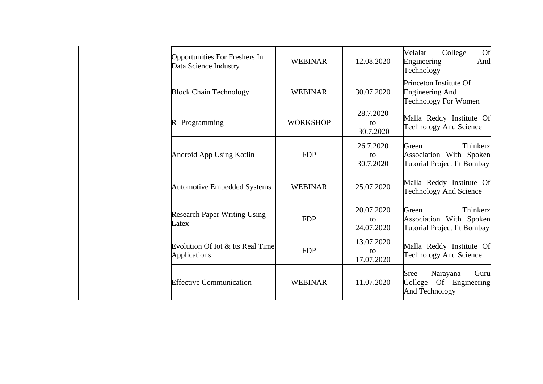| Opportunities For Freshers In<br>Data Science Industry | <b>WEBINAR</b>  | 12.08.2020                     | College<br>Of<br>Velalar<br>Engineering<br>And<br>Technology                |
|--------------------------------------------------------|-----------------|--------------------------------|-----------------------------------------------------------------------------|
| <b>Block Chain Technology</b>                          | <b>WEBINAR</b>  | 30.07.2020                     | Princeton Institute Of<br><b>Engineering And</b><br>Technology For Women    |
| R-Programming                                          | <b>WORKSHOP</b> | 28.7.2020<br>to<br>30.7.2020   | Malla Reddy Institute Of<br><b>Technology And Science</b>                   |
| Android App Using Kotlin                               | <b>FDP</b>      | 26.7.2020<br>to<br>30.7.2020   | Thinkerz<br>Green<br>Association With Spoken<br>Tutorial Project Iit Bombay |
| <b>Automotive Embedded Systems</b>                     | <b>WEBINAR</b>  | 25.07.2020                     | Malla Reddy Institute Of<br><b>Technology And Science</b>                   |
| <b>Research Paper Writing Using</b><br>Latex           | <b>FDP</b>      | 20.07.2020<br>to<br>24.07.2020 | Thinkerz<br>Green<br>Association With Spoken<br>Tutorial Project Iit Bombay |
| Evolution Of Iot & Its Real Time<br>Applications       | <b>FDP</b>      | 13.07.2020<br>to<br>17.07.2020 | Malla Reddy Institute Of<br>Technology And Science                          |
| <b>Effective Communication</b>                         | <b>WEBINAR</b>  | 11.07.2020                     | Sree<br>Narayana<br>Guru<br>College Of Engineering<br>And Technology        |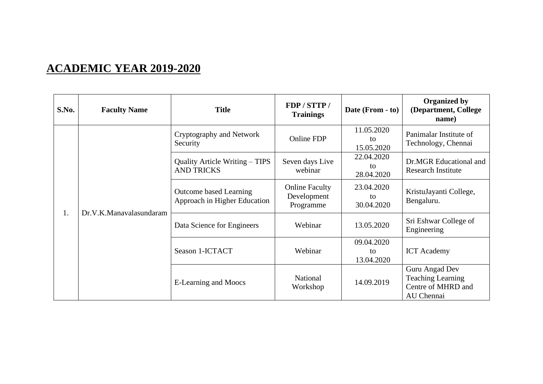## **ACADEMIC YEAR 2019-2020**

| <b>S.No.</b> | <b>Faculty Name</b>     | <b>Title</b>                                                  | FDP/STTP/<br><b>Trainings</b>                     | Date (From - to)               | <b>Organized by</b><br>(Department, College)<br>name)                          |
|--------------|-------------------------|---------------------------------------------------------------|---------------------------------------------------|--------------------------------|--------------------------------------------------------------------------------|
|              |                         | Cryptography and Network<br>Security                          | <b>Online FDP</b>                                 | 11.05.2020<br>to<br>15.05.2020 | Panimalar Institute of<br>Technology, Chennai                                  |
|              | Dr.V.K.Manavalasundaram | Quality Article Writing – TIPS<br><b>AND TRICKS</b>           | Seven days Live<br>webinar                        | 22.04.2020<br>to<br>28.04.2020 | Dr.MGR Educational and<br><b>Research Institute</b>                            |
|              |                         | <b>Outcome based Learning</b><br>Approach in Higher Education | <b>Online Faculty</b><br>Development<br>Programme | 23.04.2020<br>to<br>30.04.2020 | KristuJayanti College,<br>Bengaluru.                                           |
| 1.           |                         | Data Science for Engineers                                    | Webinar                                           | 13.05.2020                     | Sri Eshwar College of<br>Engineering                                           |
|              |                         | Season 1-ICTACT                                               | Webinar                                           | 09.04.2020<br>to<br>13.04.2020 | <b>ICT</b> Academy                                                             |
|              |                         | <b>E-Learning and Moocs</b>                                   | National<br>Workshop                              | 14.09.2019                     | Guru Angad Dev<br><b>Teaching Learning</b><br>Centre of MHRD and<br>AU Chennai |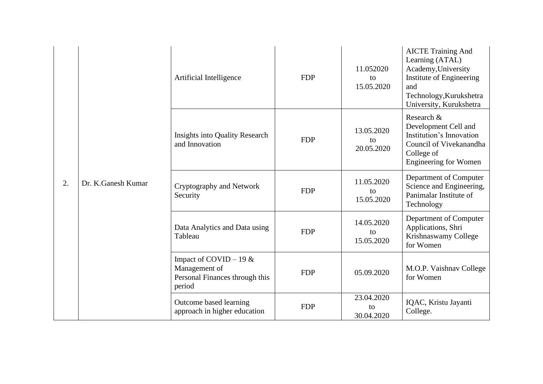| 2. |                    | Artificial Intelligence                                                               | <b>FDP</b> | 11.052020<br>to<br>15.05.2020  | <b>AICTE Training And</b><br>Learning (ATAL)<br>Academy, University<br>Institute of Engineering<br>and<br>Technology, Kurukshetra<br>University, Kurukshetra |
|----|--------------------|---------------------------------------------------------------------------------------|------------|--------------------------------|--------------------------------------------------------------------------------------------------------------------------------------------------------------|
|    |                    | <b>Insights into Quality Research</b><br>and Innovation                               | <b>FDP</b> | 13.05.2020<br>to<br>20.05.2020 | Research &<br>Development Cell and<br>Institution's Innovation<br>Council of Vivekanandha<br>College of<br><b>Engineering for Women</b>                      |
|    | Dr. K.Ganesh Kumar | Cryptography and Network<br>Security                                                  | <b>FDP</b> | 11.05.2020<br>to<br>15.05.2020 | Department of Computer<br>Science and Engineering,<br>Panimalar Institute of<br>Technology                                                                   |
|    |                    | Data Analytics and Data using<br>Tableau                                              | <b>FDP</b> | 14.05.2020<br>to<br>15.05.2020 | Department of Computer<br>Applications, Shri<br>Krishnaswamy College<br>for Women                                                                            |
|    |                    | Impact of COVID – 19 $&$<br>Management of<br>Personal Finances through this<br>period | <b>FDP</b> | 05.09.2020                     | M.O.P. Vaishnav College<br>for Women                                                                                                                         |
|    |                    | Outcome based learning<br>approach in higher education                                | <b>FDP</b> | 23.04.2020<br>to<br>30.04.2020 | IQAC, Kristu Jayanti<br>College.                                                                                                                             |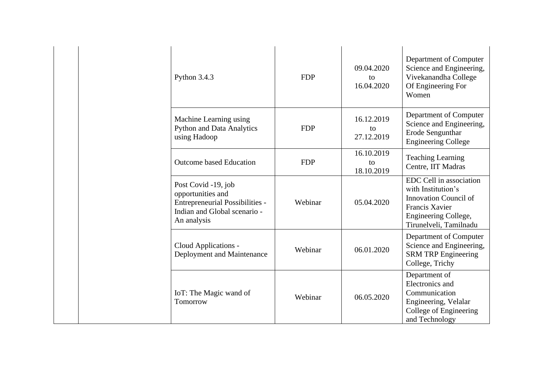| Python 3.4.3                                                                                                                      | <b>FDP</b> | 09.04.2020<br>to<br>16.04.2020            | Department of Computer<br>Science and Engineering,<br>Vivekanandha College<br>Of Engineering For<br>Women                                         |
|-----------------------------------------------------------------------------------------------------------------------------------|------------|-------------------------------------------|---------------------------------------------------------------------------------------------------------------------------------------------------|
| Machine Learning using<br><b>Python and Data Analytics</b><br>using Hadoop                                                        | <b>FDP</b> | 16.12.2019<br>to<br>27.12.2019            | Department of Computer<br>Science and Engineering,<br>Erode Sengunthar<br><b>Engineering College</b>                                              |
| <b>Outcome based Education</b>                                                                                                    | <b>FDP</b> | 16.10.2019<br>$\mathsf{to}$<br>18.10.2019 | <b>Teaching Learning</b><br>Centre, IIT Madras                                                                                                    |
| Post Covid -19, job<br>opportunities and<br><b>Entrepreneurial Possibilities -</b><br>Indian and Global scenario -<br>An analysis | Webinar    | 05.04.2020                                | EDC Cell in association<br>with Institution's<br>Innovation Council of<br><b>Francis Xavier</b><br>Engineering College,<br>Tirunelveli, Tamilnadu |
| Cloud Applications -<br>Deployment and Maintenance                                                                                | Webinar    | 06.01.2020                                | Department of Computer<br>Science and Engineering,<br><b>SRM TRP Engineering</b><br>College, Trichy                                               |
| IoT: The Magic wand of<br>Tomorrow                                                                                                | Webinar    | 06.05.2020                                | Department of<br>Electronics and<br>Communication<br>Engineering, Velalar<br>College of Engineering<br>and Technology                             |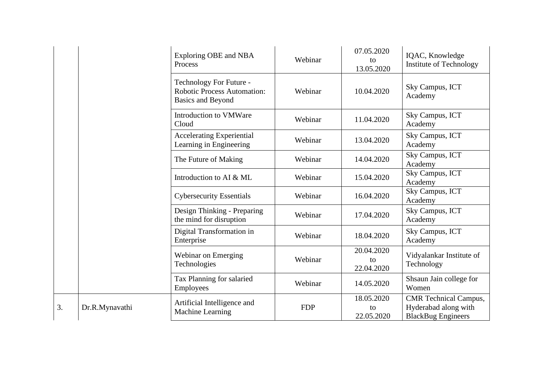|    |                | Exploring OBE and NBA<br>Process                                                          | Webinar    | 07.05.2020<br>to<br>13.05.2020 | IQAC, Knowledge<br><b>Institute of Technology</b>                                 |
|----|----------------|-------------------------------------------------------------------------------------------|------------|--------------------------------|-----------------------------------------------------------------------------------|
|    |                | Technology For Future -<br><b>Robotic Process Automation:</b><br><b>Basics and Beyond</b> | Webinar    | 10.04.2020                     | Sky Campus, ICT<br>Academy                                                        |
|    |                | Introduction to VMWare<br>Cloud                                                           | Webinar    | 11.04.2020                     | Sky Campus, ICT<br>Academy                                                        |
|    |                | <b>Accelerating Experiential</b><br>Learning in Engineering                               | Webinar    | 13.04.2020                     | Sky Campus, ICT<br>Academy                                                        |
|    |                | The Future of Making                                                                      | Webinar    | 14.04.2020                     | Sky Campus, ICT<br>Academy                                                        |
|    |                | Introduction to AI & ML                                                                   | Webinar    | 15.04.2020                     | Sky Campus, ICT<br>Academy                                                        |
|    |                | <b>Cybersecurity Essentials</b>                                                           | Webinar    | 16.04.2020                     | Sky Campus, ICT<br>Academy                                                        |
|    |                | Design Thinking - Preparing<br>the mind for disruption                                    | Webinar    | 17.04.2020                     | Sky Campus, ICT<br>Academy                                                        |
|    |                | Digital Transformation in<br>Enterprise                                                   | Webinar    | 18.04.2020                     | Sky Campus, ICT<br>Academy                                                        |
|    |                | Webinar on Emerging<br>Technologies                                                       | Webinar    | 20.04.2020<br>to<br>22.04.2020 | Vidyalankar Institute of<br>Technology                                            |
|    |                | Tax Planning for salaried<br>Employees                                                    | Webinar    | 14.05.2020                     | Shsaun Jain college for<br>Women                                                  |
| 3. | Dr.R.Mynavathi | Artificial Intelligence and<br>Machine Learning                                           | <b>FDP</b> | 18.05.2020<br>to<br>22.05.2020 | <b>CMR</b> Technical Campus,<br>Hyderabad along with<br><b>BlackBug Engineers</b> |
|    |                |                                                                                           |            |                                |                                                                                   |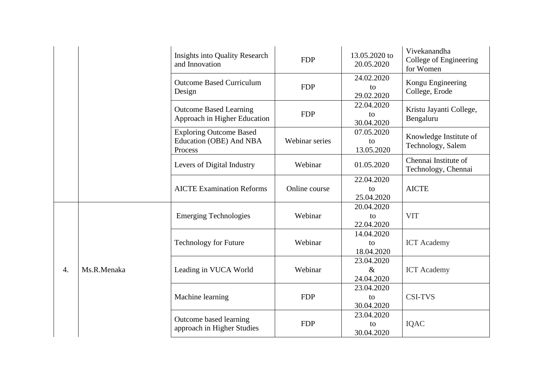|    |             | <b>Insights into Quality Research</b><br>and Innovation              | <b>FDP</b>     | 13.05.2020 to<br>20.05.2020      | Vivekanandha<br>College of Engineering<br>for Women |
|----|-------------|----------------------------------------------------------------------|----------------|----------------------------------|-----------------------------------------------------|
|    |             | <b>Outcome Based Curriculum</b><br>Design                            | <b>FDP</b>     | 24.02.2020<br>to<br>29.02.2020   | Kongu Engineering<br>College, Erode                 |
|    |             | <b>Outcome Based Learning</b><br>Approach in Higher Education        | <b>FDP</b>     | 22.04.2020<br>to<br>30.04.2020   | Kristu Jayanti College,<br>Bengaluru                |
|    |             | <b>Exploring Outcome Based</b><br>Education (OBE) And NBA<br>Process | Webinar series | 07.05.2020<br>to<br>13.05.2020   | Knowledge Institute of<br>Technology, Salem         |
|    |             | Levers of Digital Industry                                           | Webinar        | 01.05.2020                       | Chennai Institute of<br>Technology, Chennai         |
|    |             | <b>AICTE Examination Reforms</b>                                     | Online course  | 22.04.2020<br>to<br>25.04.2020   | <b>AICTE</b>                                        |
| 4. | Ms.R.Menaka | <b>Emerging Technologies</b>                                         | Webinar        | 20.04.2020<br>to<br>22.04.2020   | <b>VIT</b>                                          |
|    |             | <b>Technology for Future</b>                                         | Webinar        | 14.04.2020<br>to<br>18.04.2020   | <b>ICT</b> Academy                                  |
|    |             | Leading in VUCA World                                                | Webinar        | 23.04.2020<br>$\&$<br>24.04.2020 | <b>ICT</b> Academy                                  |
|    |             | Machine learning                                                     | <b>FDP</b>     | 23.04.2020<br>to<br>30.04.2020   | <b>CSI-TVS</b>                                      |
|    |             | Outcome based learning<br>approach in Higher Studies                 | <b>FDP</b>     | 23.04.2020<br>to<br>30.04.2020   | IQAC                                                |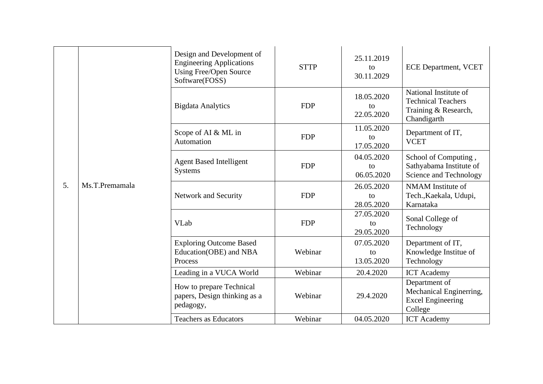|    |                | Design and Development of<br><b>Engineering Applications</b><br><b>Using Free/Open Source</b><br>Software(FOSS) | <b>STTP</b> | 25.11.2019<br>to<br>30.11.2029 | <b>ECE Department, VCET</b>                                                               |
|----|----------------|-----------------------------------------------------------------------------------------------------------------|-------------|--------------------------------|-------------------------------------------------------------------------------------------|
|    |                | <b>Bigdata Analytics</b>                                                                                        | <b>FDP</b>  | 18.05.2020<br>to<br>22.05.2020 | National Institute of<br><b>Technical Teachers</b><br>Training & Research,<br>Chandigarth |
|    |                | Scope of AI & ML in<br>Automation                                                                               | <b>FDP</b>  | 11.05.2020<br>to<br>17.05.2020 | Department of IT,<br><b>VCET</b>                                                          |
|    |                | <b>Agent Based Intelligent</b><br><b>Systems</b>                                                                | <b>FDP</b>  | 04.05.2020<br>to<br>06.05.2020 | School of Computing,<br>Sathyabama Institute of<br>Science and Technology                 |
| 5. | Ms.T.Premamala | Network and Security                                                                                            | <b>FDP</b>  | 26.05.2020<br>to<br>28.05.2020 | NMAM Institute of<br>Tech., Kaekala, Udupi,<br>Karnataka                                  |
|    |                | VLab                                                                                                            | <b>FDP</b>  | 27.05.2020<br>to<br>29.05.2020 | Sonal College of<br>Technology                                                            |
|    |                | <b>Exploring Outcome Based</b><br>Education(OBE) and NBA<br>Process                                             | Webinar     | 07.05.2020<br>to<br>13.05.2020 | Department of IT,<br>Knowledge Institue of<br>Technology                                  |
|    |                | Leading in a VUCA World                                                                                         | Webinar     | 20.4.2020                      | <b>ICT</b> Academy                                                                        |
|    |                | How to prepare Technical<br>papers, Design thinking as a<br>pedagogy,                                           | Webinar     | 29.4.2020                      | Department of<br>Mechanical Enginerring,<br><b>Excel Engineering</b><br>College           |
|    |                | <b>Teachers as Educators</b>                                                                                    | Webinar     | 04.05.2020                     | <b>ICT</b> Academy                                                                        |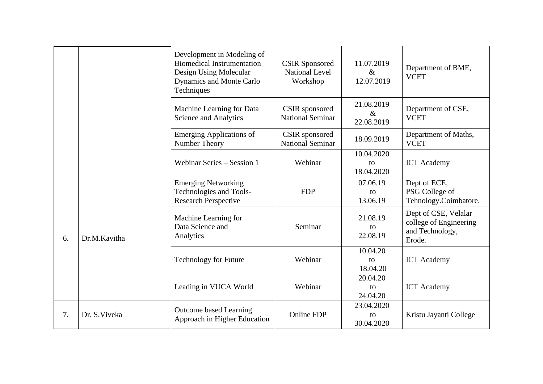|    |               | Development in Modeling of<br><b>Biomedical Instrumentation</b><br>Design Using Molecular<br>Dynamics and Monte Carlo<br>Techniques | <b>CSIR Sponsored</b><br><b>National Level</b><br>Workshop | 11.07.2019<br>$\&$<br>12.07.2019     | Department of BME,<br><b>VCET</b>                                           |
|----|---------------|-------------------------------------------------------------------------------------------------------------------------------------|------------------------------------------------------------|--------------------------------------|-----------------------------------------------------------------------------|
|    |               | Machine Learning for Data<br>Science and Analytics                                                                                  | CSIR sponsored<br><b>National Seminar</b>                  | 21.08.2019<br>$\&$<br>22.08.2019     | Department of CSE,<br><b>VCET</b>                                           |
|    |               | <b>Emerging Applications of</b><br>Number Theory                                                                                    | CSIR sponsored<br><b>National Seminar</b>                  | 18.09.2019                           | Department of Maths,<br><b>VCET</b>                                         |
|    |               | Webinar Series - Session 1                                                                                                          | Webinar                                                    | 10.04.2020<br>to<br>18.04.2020       | <b>ICT</b> Academy                                                          |
| 6. | Dr.M.Kavitha  | <b>Emerging Networking</b><br>Technologies and Tools-<br><b>Research Perspective</b>                                                | <b>FDP</b>                                                 | 07.06.19<br>to<br>13.06.19           | Dept of ECE,<br>PSG College of<br>Tehnology.Coimbatore.                     |
|    |               | Machine Learning for<br>Data Science and<br>Analytics                                                                               | Seminar                                                    | 21.08.19<br>to<br>22.08.19           | Dept of CSE, Velalar<br>college of Engineering<br>and Technology,<br>Erode. |
|    |               | <b>Technology for Future</b>                                                                                                        | Webinar                                                    | 10.04.20<br>$\mathbf{f}$<br>18.04.20 | <b>ICT</b> Academy                                                          |
|    |               | Leading in VUCA World                                                                                                               | Webinar                                                    | 20.04.20<br>to<br>24.04.20           | <b>ICT</b> Academy                                                          |
| 7. | Dr. S. Viveka | Outcome based Learning<br>Approach in Higher Education                                                                              | Online FDP                                                 | 23.04.2020<br>to<br>30.04.2020       | Kristu Jayanti College                                                      |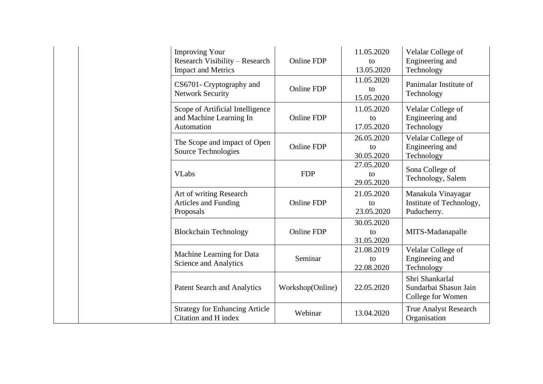| <b>Improving Your</b><br>Research Visibility - Research<br><b>Impact and Metrics</b> | <b>Online FDP</b> | 11.05.2020<br>to<br>13.05.2020            | Velalar College of<br>Engineering and<br>Technology           |
|--------------------------------------------------------------------------------------|-------------------|-------------------------------------------|---------------------------------------------------------------|
| CS6701- Cryptography and<br><b>Network Security</b>                                  | <b>Online FDP</b> | 11.05.2020<br>$\mathsf{to}$<br>15.05.2020 | Panimalar Institute of<br>Technology                          |
| Scope of Artificial Intelligence<br>and Machine Learning In<br>Automation            | <b>Online FDP</b> | 11.05.2020<br>to<br>17.05.2020            | Velalar College of<br>Engineering and<br>Technology           |
| The Scope and impact of Open<br>Source Technologies                                  | <b>Online FDP</b> | 26.05.2020<br>to<br>30.05.2020            | Velalar College of<br>Engineering and<br>Technology           |
| <b>VLabs</b>                                                                         | <b>FDP</b>        | 27.05.2020<br>to<br>29.05.2020            | Sona College of<br>Technology, Salem                          |
| Art of writing Research<br>Articles and Funding<br>Proposals                         | <b>Online FDP</b> | 21.05.2020<br>to<br>23.05.2020            | Manakula Vinayagar<br>Institute of Technology,<br>Puducherry. |
| <b>Blockchain Technology</b>                                                         | Online FDP        | 30.05.2020<br>to<br>31.05.2020            | MITS-Madanapalle                                              |
| Machine Learning for Data<br>Science and Analytics                                   | Seminar           | 21.08.2019<br>to<br>22.08.2020            | Velalar College of<br>Engineeing and<br>Technology            |
| <b>Patent Search and Analytics</b>                                                   | Workshop(Online)  | 22.05.2020                                | Shri Shankarlal<br>Sundarbai Shasun Jain<br>College for Women |
| <b>Strategy for Enhancing Article</b><br>Citation and H index                        | Webinar           | 13.04.2020                                | <b>True Analyst Research</b><br>Organisation                  |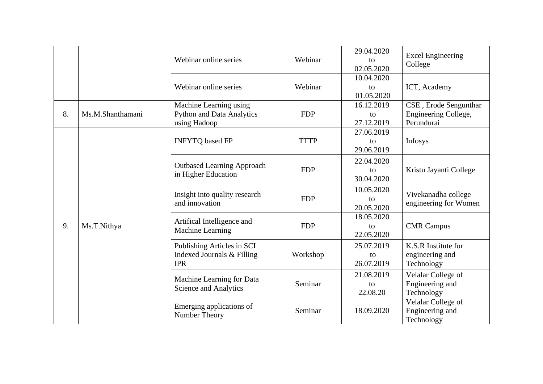|    |                  | Webinar online series                                                      | Webinar     | 29.04.2020<br>to<br>02.05.2020 | <b>Excel Engineering</b><br>College                         |
|----|------------------|----------------------------------------------------------------------------|-------------|--------------------------------|-------------------------------------------------------------|
|    |                  | Webinar online series                                                      | Webinar     | 10.04.2020<br>to<br>01.05.2020 | ICT, Academy                                                |
| 8. | Ms.M.Shanthamani | Machine Learning using<br><b>Python and Data Analytics</b><br>using Hadoop | <b>FDP</b>  | 16.12.2019<br>to<br>27.12.2019 | CSE, Erode Sengunthar<br>Engineering College,<br>Perundurai |
|    |                  | <b>INFYTQ</b> based FP                                                     | <b>TTTP</b> | 27.06.2019<br>to<br>29.06.2019 | Infosys                                                     |
|    | Ms.T.Nithya      | <b>Outbased Learning Approach</b><br>in Higher Education                   | <b>FDP</b>  | 22.04.2020<br>to<br>30.04.2020 | Kristu Jayanti College                                      |
|    |                  | Insight into quality research<br>and innovation                            | <b>FDP</b>  | 10.05.2020<br>to<br>20.05.2020 | Vivekanadha college<br>engineering for Women                |
| 9. |                  | Artifical Intelligence and<br>Machine Learning                             | <b>FDP</b>  | 18.05.2020<br>to<br>22.05.2020 | <b>CMR</b> Campus                                           |
|    |                  | Publishing Articles in SCI<br>Indexed Journals & Filling<br><b>IPR</b>     | Workshop    | 25.07.2019<br>to<br>26.07.2019 | K.S.R Institute for<br>engineering and<br>Technology        |
|    |                  | Machine Learning for Data<br><b>Science and Analytics</b>                  | Seminar     | 21.08.2019<br>to<br>22.08.20   | Velalar College of<br>Engineering and<br>Technology         |
|    |                  | Emerging applications of<br>Number Theory                                  | Seminar     | 18.09.2020                     | Velalar College of<br>Engineering and<br>Technology         |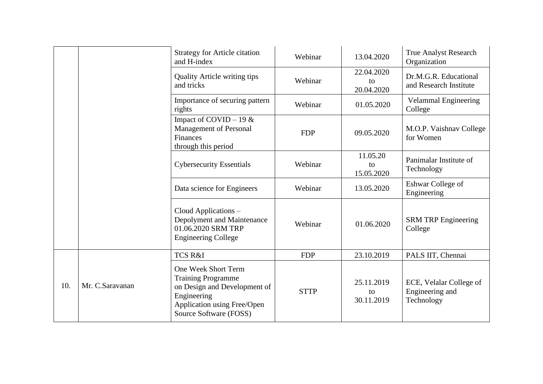|     |                 | <b>Strategy for Article citation</b><br>and H-index                                                                                                      | Webinar     | 13.04.2020                     | <b>True Analyst Research</b><br>Organization             |
|-----|-----------------|----------------------------------------------------------------------------------------------------------------------------------------------------------|-------------|--------------------------------|----------------------------------------------------------|
|     |                 | <b>Quality Article writing tips</b><br>and tricks                                                                                                        | Webinar     | 22.04.2020<br>to<br>20.04.2020 | Dr.M.G.R. Educational<br>and Research Institute          |
|     |                 | Importance of securing pattern<br>rights                                                                                                                 | Webinar     | 01.05.2020                     | Velammal Engineering<br>College                          |
|     |                 | Impact of COVID – 19 $&$<br><b>Management of Personal</b><br><b>Finances</b><br>through this period                                                      | <b>FDP</b>  | 09.05.2020                     | M.O.P. Vaishnav College<br>for Women                     |
|     |                 | <b>Cybersecurity Essentials</b>                                                                                                                          | Webinar     | 11.05.20<br>to<br>15.05.2020   | Panimalar Institute of<br>Technology                     |
|     |                 | Data science for Engineers                                                                                                                               | Webinar     | 13.05.2020                     | Eshwar College of<br>Engineering                         |
|     |                 | Cloud Applications -<br>Depolyment and Maintenance<br>01.06.2020 SRM TRP<br><b>Engineering College</b>                                                   | Webinar     | 01.06.2020                     | <b>SRM TRP Engineering</b><br>College                    |
|     |                 | <b>TCS R&amp;I</b>                                                                                                                                       | <b>FDP</b>  | 23.10.2019                     | PALS IIT, Chennai                                        |
| 10. | Mr. C.Saravanan | One Week Short Term<br><b>Training Programme</b><br>on Design and Development of<br>Engineering<br>Application using Free/Open<br>Source Software (FOSS) | <b>STTP</b> | 25.11.2019<br>to<br>30.11.2019 | ECE, Velalar College of<br>Engineering and<br>Technology |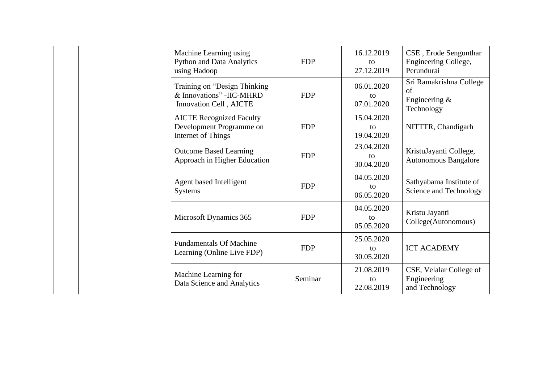| Machine Learning using<br><b>Python and Data Analytics</b><br>using Hadoop          | <b>FDP</b> | 16.12.2019<br>to<br>27.12.2019 | CSE, Erode Sengunthar<br>Engineering College,<br>Perundurai    |
|-------------------------------------------------------------------------------------|------------|--------------------------------|----------------------------------------------------------------|
| Training on "Design Thinking<br>& Innovations" - IIC-MHRD<br>Innovation Cell, AICTE | <b>FDP</b> | 06.01.2020<br>to<br>07.01.2020 | Sri Ramakrishna College<br>of<br>Engineering $&$<br>Technology |
| <b>AICTE Recognized Faculty</b><br>Development Programme on<br>Internet of Things   | <b>FDP</b> | 15.04.2020<br>to<br>19.04.2020 | NITTTR, Chandigarh                                             |
| <b>Outcome Based Learning</b><br>Approach in Higher Education                       | <b>FDP</b> | 23.04.2020<br>to<br>30.04.2020 | KristuJayanti College,<br>Autonomous Bangalore                 |
| Agent based Intelligent<br><b>Systems</b>                                           | <b>FDP</b> | 04.05.2020<br>to<br>06.05.2020 | Sathyabama Institute of<br>Science and Technology              |
| Microsoft Dynamics 365                                                              | <b>FDP</b> | 04.05.2020<br>to<br>05.05.2020 | Kristu Jayanti<br>College(Autonomous)                          |
| <b>Fundamentals Of Machine</b><br>Learning (Online Live FDP)                        | <b>FDP</b> | 25.05.2020<br>to<br>30.05.2020 | <b>ICT ACADEMY</b>                                             |
| Machine Learning for<br>Data Science and Analytics                                  | Seminar    | 21.08.2019<br>to<br>22.08.2019 | CSE, Velalar College of<br>Engineering<br>and Technology       |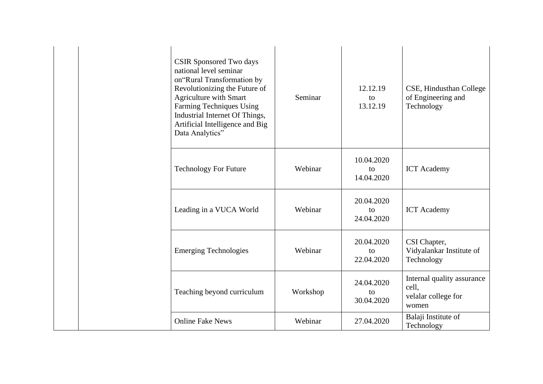| <b>CSIR Sponsored Two days</b><br>national level seminar<br>on"Rural Transformation by<br>Revolutionizing the Future of<br><b>Agriculture with Smart</b><br>Farming Techniques Using<br>Industrial Internet Of Things,<br>Artificial Intelligence and Big<br>Data Analytics" | Seminar  | 12.12.19<br>tο<br>13.12.19     | CSE, Hindusthan College<br>of Engineering and<br>Technology         |
|------------------------------------------------------------------------------------------------------------------------------------------------------------------------------------------------------------------------------------------------------------------------------|----------|--------------------------------|---------------------------------------------------------------------|
| <b>Technology For Future</b>                                                                                                                                                                                                                                                 | Webinar  | 10.04.2020<br>to<br>14.04.2020 | <b>ICT</b> Academy                                                  |
| Leading in a VUCA World                                                                                                                                                                                                                                                      | Webinar  | 20.04.2020<br>to<br>24.04.2020 | <b>ICT</b> Academy                                                  |
| <b>Emerging Technologies</b>                                                                                                                                                                                                                                                 | Webinar  | 20.04.2020<br>to<br>22.04.2020 | CSI Chapter,<br>Vidyalankar Institute of<br>Technology              |
| Teaching beyond curriculum                                                                                                                                                                                                                                                   | Workshop | 24.04.2020<br>to<br>30.04.2020 | Internal quality assurance<br>cell,<br>velalar college for<br>women |
| <b>Online Fake News</b>                                                                                                                                                                                                                                                      | Webinar  | 27.04.2020                     | Balaji Institute of<br>Technology                                   |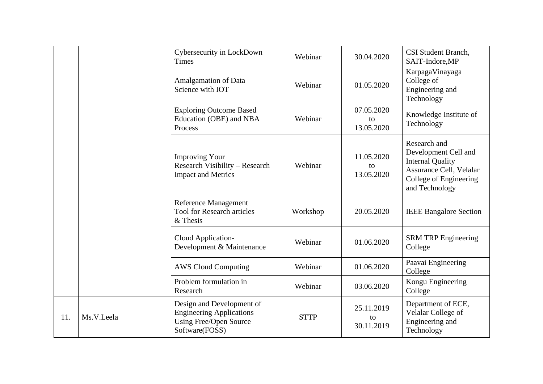|     |            | Cybersecurity in LockDown<br><b>Times</b>                                                                       | Webinar     | 30.04.2020                     | CSI Student Branch,<br>SAIT-Indore, MP                                                                                                 |
|-----|------------|-----------------------------------------------------------------------------------------------------------------|-------------|--------------------------------|----------------------------------------------------------------------------------------------------------------------------------------|
|     |            | Amalgamation of Data<br>Science with IOT                                                                        | Webinar     | 01.05.2020                     | KarpagaVinayaga<br>College of<br>Engineering and<br>Technology                                                                         |
|     |            | <b>Exploring Outcome Based</b><br>Education (OBE) and NBA<br>Process                                            | Webinar     | 07.05.2020<br>to<br>13.05.2020 | Knowledge Institute of<br>Technology                                                                                                   |
|     |            | <b>Improving Your</b><br>Research Visibility - Research<br><b>Impact and Metrics</b>                            | Webinar     | 11.05.2020<br>to<br>13.05.2020 | Research and<br>Development Cell and<br><b>Internal Quality</b><br>Assurance Cell, Velalar<br>College of Engineering<br>and Technology |
|     |            | <b>Reference Management</b><br><b>Tool for Research articles</b><br>& Thesis                                    | Workshop    | 20.05.2020                     | <b>IEEE Bangalore Section</b>                                                                                                          |
|     |            | Cloud Application-<br>Development & Maintenance                                                                 | Webinar     | 01.06.2020                     | <b>SRM TRP Engineering</b><br>College                                                                                                  |
|     |            | <b>AWS Cloud Computing</b>                                                                                      | Webinar     | 01.06.2020                     | Paavai Engineering<br>College                                                                                                          |
|     |            | Problem formulation in<br>Research                                                                              | Webinar     | 03.06.2020                     | Kongu Engineering<br>College                                                                                                           |
| 11. | Ms.V.Leela | Design and Development of<br><b>Engineering Applications</b><br><b>Using Free/Open Source</b><br>Software(FOSS) | <b>STTP</b> | 25.11.2019<br>to<br>30.11.2019 | Department of ECE,<br>Velalar College of<br>Engineering and<br>Technology                                                              |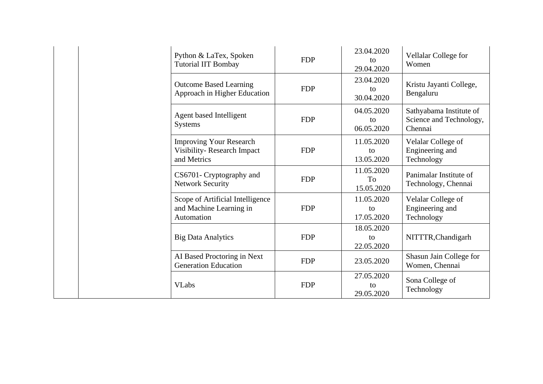| Python & LaTex, Spoken<br><b>Tutorial IIT Bombay</b>                               | <b>FDP</b> | 23.04.2020<br>to<br>29.04.2020 | Vellalar College for<br>Women                                 |
|------------------------------------------------------------------------------------|------------|--------------------------------|---------------------------------------------------------------|
| <b>Outcome Based Learning</b><br>Approach in Higher Education                      | <b>FDP</b> | 23.04.2020<br>to<br>30.04.2020 | Kristu Jayanti College,<br>Bengaluru                          |
| Agent based Intelligent<br><b>Systems</b>                                          | <b>FDP</b> | 04.05.2020<br>to<br>06.05.2020 | Sathyabama Institute of<br>Science and Technology,<br>Chennai |
| <b>Improving Your Research</b><br><b>Visibility-Research Impact</b><br>and Metrics | <b>FDP</b> | 11.05.2020<br>to<br>13.05.2020 | Velalar College of<br>Engineering and<br>Technology           |
| CS6701- Cryptography and<br><b>Network Security</b>                                | <b>FDP</b> | 11.05.2020<br>To<br>15.05.2020 | Panimalar Institute of<br>Technology, Chennai                 |
| Scope of Artificial Intelligence<br>and Machine Learning in<br>Automation          | <b>FDP</b> | 11.05.2020<br>to<br>17.05.2020 | Velalar College of<br>Engineering and<br>Technology           |
| <b>Big Data Analytics</b>                                                          | <b>FDP</b> | 18.05.2020<br>to<br>22.05.2020 | NITTTR, Chandigarh                                            |
| AI Based Proctoring in Next<br><b>Generation Education</b>                         | <b>FDP</b> | 23.05.2020                     | Shasun Jain College for<br>Women, Chennai                     |
| <b>VLabs</b>                                                                       | <b>FDP</b> | 27.05.2020<br>to<br>29.05.2020 | Sona College of<br>Technology                                 |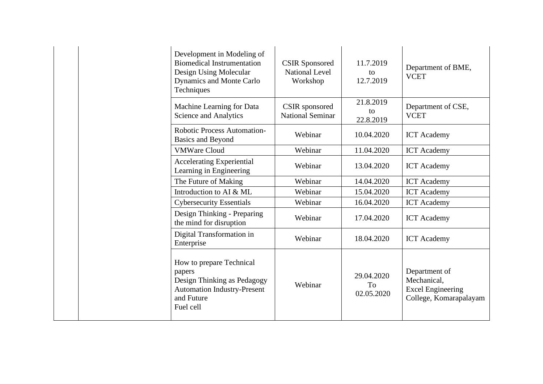| Development in Modeling of<br><b>Biomedical Instrumentation</b><br>Design Using Molecular<br>Dynamics and Monte Carlo<br>Techniques | <b>CSIR Sponsored</b><br><b>National Level</b><br>Workshop | 11.7.2019<br>to<br>12.7.2019   | Department of BME,<br><b>VCET</b>                                                  |
|-------------------------------------------------------------------------------------------------------------------------------------|------------------------------------------------------------|--------------------------------|------------------------------------------------------------------------------------|
| Machine Learning for Data<br>Science and Analytics                                                                                  | CSIR sponsored<br><b>National Seminar</b>                  | 21.8.2019<br>tΩ<br>22.8.2019   | Department of CSE,<br><b>VCET</b>                                                  |
| <b>Robotic Process Automation-</b><br><b>Basics and Beyond</b>                                                                      | Webinar                                                    | 10.04.2020                     | <b>ICT</b> Academy                                                                 |
| <b>VMWare Cloud</b>                                                                                                                 | Webinar                                                    | 11.04.2020                     | <b>ICT</b> Academy                                                                 |
| <b>Accelerating Experiential</b><br>Learning in Engineering                                                                         | Webinar                                                    | 13.04.2020                     | <b>ICT</b> Academy                                                                 |
| The Future of Making                                                                                                                | Webinar                                                    | 14.04.2020                     | <b>ICT</b> Academy                                                                 |
| Introduction to AI & ML                                                                                                             | Webinar                                                    | 15.04.2020                     | <b>ICT</b> Academy                                                                 |
| <b>Cybersecurity Essentials</b>                                                                                                     | Webinar                                                    | 16.04.2020                     | <b>ICT</b> Academy                                                                 |
| Design Thinking - Preparing<br>the mind for disruption                                                                              | Webinar                                                    | 17.04.2020                     | <b>ICT</b> Academy                                                                 |
| Digital Transformation in<br>Enterprise                                                                                             | Webinar                                                    | 18.04.2020                     | <b>ICT</b> Academy                                                                 |
| How to prepare Technical<br>papers<br>Design Thinking as Pedagogy<br><b>Automation Industry-Present</b><br>and Future<br>Fuel cell  | Webinar                                                    | 29.04.2020<br>To<br>02.05.2020 | Department of<br>Mechanical,<br><b>Excel Engineering</b><br>College, Komarapalayam |

 $\mathbb{R}$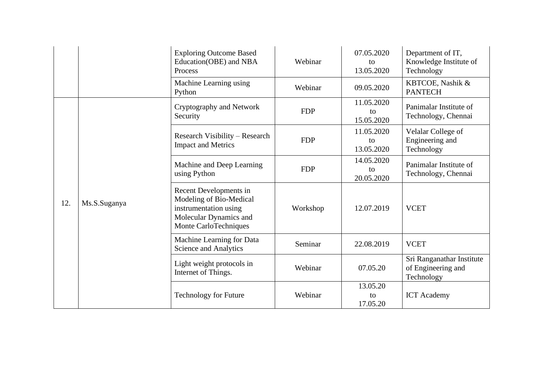|     |              | <b>Exploring Outcome Based</b><br>Education(OBE) and NBA<br>Process                                                           | Webinar    | 07.05.2020<br>to<br>13.05.2020 | Department of IT,<br>Knowledge Institute of<br>Technology     |
|-----|--------------|-------------------------------------------------------------------------------------------------------------------------------|------------|--------------------------------|---------------------------------------------------------------|
|     |              | Machine Learning using<br>Python                                                                                              | Webinar    | 09.05.2020                     | KBTCOE, Nashik &<br><b>PANTECH</b>                            |
|     |              | Cryptography and Network<br>Security                                                                                          | <b>FDP</b> | 11.05.2020<br>to<br>15.05.2020 | Panimalar Institute of<br>Technology, Chennai                 |
| 12. |              | Research Visibility – Research<br><b>Impact and Metrics</b>                                                                   | <b>FDP</b> | 11.05.2020<br>to<br>13.05.2020 | Velalar College of<br>Engineering and<br>Technology           |
|     |              | Machine and Deep Learning<br>using Python                                                                                     | <b>FDP</b> | 14.05.2020<br>to<br>20.05.2020 | Panimalar Institute of<br>Technology, Chennai                 |
|     | Ms.S.Suganya | Recent Developments in<br>Modeling of Bio-Medical<br>instrumentation using<br>Molecular Dynamics and<br>Monte CarloTechniques | Workshop   | 12.07.2019                     | <b>VCET</b>                                                   |
|     |              | Machine Learning for Data<br><b>Science and Analytics</b>                                                                     | Seminar    | 22.08.2019                     | <b>VCET</b>                                                   |
|     |              | Light weight protocols in<br>Internet of Things.                                                                              | Webinar    | 07.05.20                       | Sri Ranganathar Institute<br>of Engineering and<br>Technology |
|     |              | <b>Technology for Future</b>                                                                                                  | Webinar    | 13.05.20<br>to<br>17.05.20     | <b>ICT</b> Academy                                            |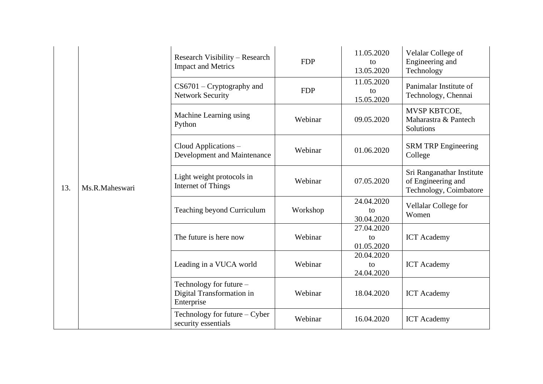| 13. |                | Research Visibility – Research<br><b>Impact and Metrics</b>        | <b>FDP</b> | 11.05.2020<br>to<br>13.05.2020 | Velalar College of<br>Engineering and<br>Technology                       |
|-----|----------------|--------------------------------------------------------------------|------------|--------------------------------|---------------------------------------------------------------------------|
|     |                | $CS6701$ – Cryptography and<br><b>Network Security</b>             | <b>FDP</b> | 11.05.2020<br>to<br>15.05.2020 | Panimalar Institute of<br>Technology, Chennai                             |
|     |                | Machine Learning using<br>Python                                   | Webinar    | 09.05.2020                     | MVSP KBTCOE,<br>Maharastra & Pantech<br>Solutions                         |
|     |                | Cloud Applications -<br>Development and Maintenance                | Webinar    | 01.06.2020                     | <b>SRM TRP Engineering</b><br>College                                     |
|     | Ms.R.Maheswari | Light weight protocols in<br>Internet of Things                    | Webinar    | 07.05.2020                     | Sri Ranganathar Institute<br>of Engineering and<br>Technology, Coimbatore |
|     |                | <b>Teaching beyond Curriculum</b>                                  | Workshop   | 24.04.2020<br>to<br>30.04.2020 | Vellalar College for<br>Women                                             |
|     |                | The future is here now                                             | Webinar    | 27.04.2020<br>to<br>01.05.2020 | <b>ICT</b> Academy                                                        |
|     |                | Leading in a VUCA world                                            | Webinar    | 20.04.2020<br>to<br>24.04.2020 | <b>ICT</b> Academy                                                        |
|     |                | Technology for future –<br>Digital Transformation in<br>Enterprise | Webinar    | 18.04.2020                     | <b>ICT</b> Academy                                                        |
|     |                | Technology for future - Cyber<br>security essentials               | Webinar    | 16.04.2020                     | <b>ICT</b> Academy                                                        |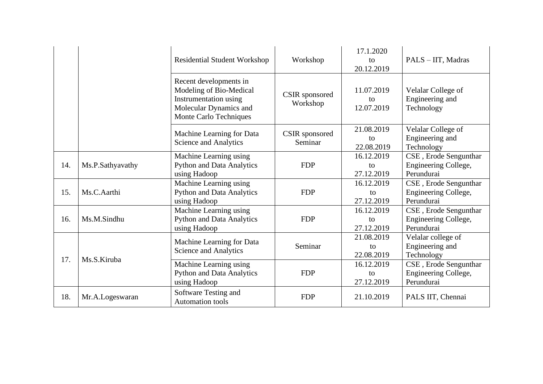|     |                  | <b>Residential Student Workshop</b>                                                                                            | Workshop                   | 17.1.2020<br>to<br>20.12.2019  | PALS - IIT, Madras                                          |
|-----|------------------|--------------------------------------------------------------------------------------------------------------------------------|----------------------------|--------------------------------|-------------------------------------------------------------|
|     |                  | Recent developments in<br>Modeling of Bio-Medical<br>Instrumentation using<br>Molecular Dynamics and<br>Monte Carlo Techniques | CSIR sponsored<br>Workshop | 11.07.2019<br>to<br>12.07.2019 | Velalar College of<br>Engineering and<br>Technology         |
|     |                  | Machine Learning for Data<br>Science and Analytics                                                                             | CSIR sponsored<br>Seminar  | 21.08.2019<br>to<br>22.08.2019 | Velalar College of<br>Engineering and<br>Technology         |
| 14. | Ms.P.Sathyavathy | Machine Learning using<br><b>Python and Data Analytics</b><br>using Hadoop                                                     | <b>FDP</b>                 | 16.12.2019<br>to<br>27.12.2019 | CSE, Erode Sengunthar<br>Engineering College,<br>Perundurai |
| 15. | Ms.C.Aarthi      | Machine Learning using<br><b>Python and Data Analytics</b><br>using Hadoop                                                     | <b>FDP</b>                 | 16.12.2019<br>to<br>27.12.2019 | CSE, Erode Sengunthar<br>Engineering College,<br>Perundurai |
| 16. | Ms.M.Sindhu      | Machine Learning using<br><b>Python and Data Analytics</b><br>using Hadoop                                                     | <b>FDP</b>                 | 16.12.2019<br>to<br>27.12.2019 | CSE, Erode Sengunthar<br>Engineering College,<br>Perundurai |
|     |                  | Machine Learning for Data<br><b>Science and Analytics</b>                                                                      | Seminar                    | 21.08.2019<br>to<br>22.08.2019 | Velalar college of<br>Engineering and<br>Technology         |
| 17. | Ms.S.Kiruba      | Machine Learning using<br><b>Python and Data Analytics</b><br>using Hadoop                                                     | <b>FDP</b>                 | 16.12.2019<br>to<br>27.12.2019 | CSE, Erode Sengunthar<br>Engineering College,<br>Perundurai |
| 18. | Mr.A.Logeswaran  | Software Testing and<br><b>Automation</b> tools                                                                                | <b>FDP</b>                 | 21.10.2019                     | PALS IIT, Chennai                                           |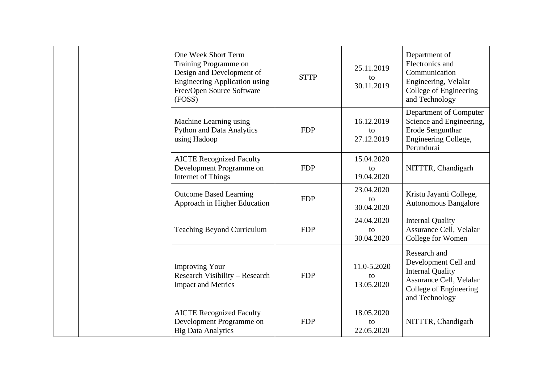| One Week Short Term<br>Training Programme on<br>Design and Development of<br><b>Engineering Application using</b><br>Free/Open Source Software<br>(FOSS) | <b>STTP</b> | 25.11.2019<br>to<br>30.11.2019  | Department of<br>Electronics and<br>Communication<br>Engineering, Velalar<br>College of Engineering<br>and Technology                  |
|----------------------------------------------------------------------------------------------------------------------------------------------------------|-------------|---------------------------------|----------------------------------------------------------------------------------------------------------------------------------------|
| Machine Learning using<br><b>Python and Data Analytics</b><br>using Hadoop                                                                               | <b>FDP</b>  | 16.12.2019<br>to<br>27.12.2019  | Department of Computer<br>Science and Engineering,<br>Erode Sengunthar<br>Engineering College,<br>Perundurai                           |
| <b>AICTE Recognized Faculty</b><br>Development Programme on<br>Internet of Things                                                                        | <b>FDP</b>  | 15.04.2020<br>to<br>19.04.2020  | NITTTR, Chandigarh                                                                                                                     |
| <b>Outcome Based Learning</b><br>Approach in Higher Education                                                                                            | <b>FDP</b>  | 23.04.2020<br>to<br>30.04.2020  | Kristu Jayanti College,<br>Autonomous Bangalore                                                                                        |
| <b>Teaching Beyond Curriculum</b>                                                                                                                        | <b>FDP</b>  | 24.04.2020<br>to<br>30.04.2020  | <b>Internal Quality</b><br>Assurance Cell, Velalar<br>College for Women                                                                |
| <b>Improving Your</b><br>Research Visibility - Research<br><b>Impact and Metrics</b>                                                                     | <b>FDP</b>  | 11.0-5.2020<br>to<br>13.05.2020 | Research and<br>Development Cell and<br><b>Internal Quality</b><br>Assurance Cell, Velalar<br>College of Engineering<br>and Technology |
| <b>AICTE Recognized Faculty</b><br>Development Programme on<br><b>Big Data Analytics</b>                                                                 | <b>FDP</b>  | 18.05.2020<br>to<br>22.05.2020  | NITTTR, Chandigarh                                                                                                                     |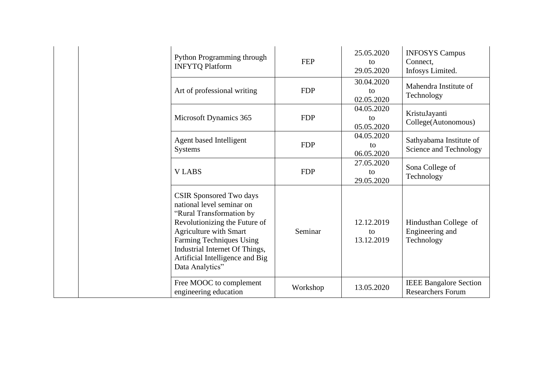| Python Programming through<br><b>INFYTQ Platform</b>                                                                                                                                                                                                                          | <b>FEP</b> | 25.05.2020<br>to<br>29.05.2020 | <b>INFOSYS Campus</b><br>Connect,<br>Infosys Limited.     |
|-------------------------------------------------------------------------------------------------------------------------------------------------------------------------------------------------------------------------------------------------------------------------------|------------|--------------------------------|-----------------------------------------------------------|
| Art of professional writing                                                                                                                                                                                                                                                   | <b>FDP</b> | 30.04.2020<br>to<br>02.05.2020 | Mahendra Institute of<br>Technology                       |
| Microsoft Dynamics 365                                                                                                                                                                                                                                                        | <b>FDP</b> | 04.05.2020<br>tο<br>05.05.2020 | KristuJayanti<br>College(Autonomous)                      |
| Agent based Intelligent<br><b>Systems</b>                                                                                                                                                                                                                                     | <b>FDP</b> | 04.05.2020<br>to<br>06.05.2020 | Sathyabama Institute of<br>Science and Technology         |
| <b>VLABS</b>                                                                                                                                                                                                                                                                  | <b>FDP</b> | 27.05.2020<br>to<br>29.05.2020 | Sona College of<br>Technology                             |
| <b>CSIR Sponsored Two days</b><br>national level seminar on<br>"Rural Transformation by<br>Revolutionizing the Future of<br><b>Agriculture with Smart</b><br>Farming Techniques Using<br>Industrial Internet Of Things,<br>Artificial Intelligence and Big<br>Data Analytics" | Seminar    | 12.12.2019<br>to<br>13.12.2019 | Hindusthan College of<br>Engineering and<br>Technology    |
| Free MOOC to complement<br>engineering education                                                                                                                                                                                                                              | Workshop   | 13.05.2020                     | <b>IEEE Bangalore Section</b><br><b>Researchers Forum</b> |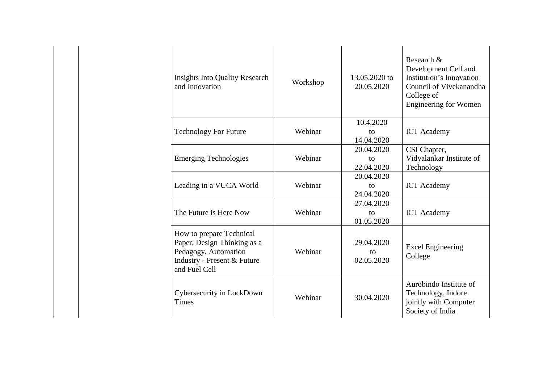| <b>Insights Into Quality Research</b><br>and Innovation                                                                         | Workshop | 13.05.2020 to<br>20.05.2020    | Research &<br>Development Cell and<br>Institution's Innovation<br>Council of Vivekanandha<br>College of<br><b>Engineering for Women</b> |
|---------------------------------------------------------------------------------------------------------------------------------|----------|--------------------------------|-----------------------------------------------------------------------------------------------------------------------------------------|
| <b>Technology For Future</b>                                                                                                    | Webinar  | 10.4.2020<br>to<br>14.04.2020  | <b>ICT</b> Academy                                                                                                                      |
| <b>Emerging Technologies</b>                                                                                                    | Webinar  | 20.04.2020<br>to<br>22.04.2020 | CSI Chapter,<br>Vidyalankar Institute of<br>Technology                                                                                  |
| Leading in a VUCA World                                                                                                         | Webinar  | 20.04.2020<br>to<br>24.04.2020 | <b>ICT</b> Academy                                                                                                                      |
| The Future is Here Now                                                                                                          | Webinar  | 27.04.2020<br>to<br>01.05.2020 | <b>ICT</b> Academy                                                                                                                      |
| How to prepare Technical<br>Paper, Design Thinking as a<br>Pedagogy, Automation<br>Industry - Present & Future<br>and Fuel Cell | Webinar  | 29.04.2020<br>to<br>02.05.2020 | <b>Excel Engineering</b><br>College                                                                                                     |
| Cybersecurity in LockDown<br><b>Times</b>                                                                                       | Webinar  | 30.04.2020                     | Aurobindo Institute of<br>Technology, Indore<br>jointly with Computer<br>Society of India                                               |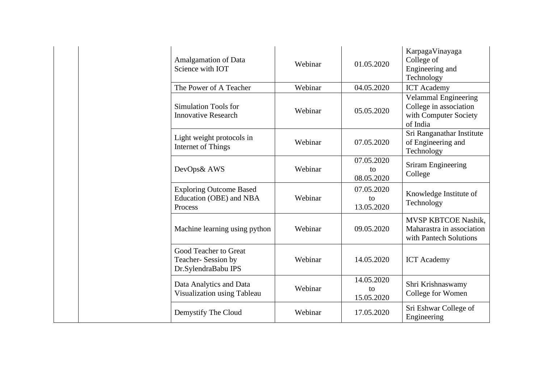| Amalgamation of Data<br>Science with IOT                             | Webinar | 01.05.2020                     | KarpagaVinayaga<br>College of<br>Engineering and<br>Technology                      |
|----------------------------------------------------------------------|---------|--------------------------------|-------------------------------------------------------------------------------------|
| The Power of A Teacher                                               | Webinar | 04.05.2020                     | <b>ICT</b> Academy                                                                  |
| <b>Simulation Tools for</b><br><b>Innovative Research</b>            | Webinar | 05.05.2020                     | Velammal Engineering<br>College in association<br>with Computer Society<br>of India |
| Light weight protocols in<br>Internet of Things                      | Webinar | 07.05.2020                     | Sri Ranganathar Institute<br>of Engineering and<br>Technology                       |
| DevOps& AWS                                                          | Webinar | 07.05.2020<br>tο<br>08.05.2020 | <b>Sriram Engineering</b><br>College                                                |
| <b>Exploring Outcome Based</b><br>Education (OBE) and NBA<br>Process | Webinar | 07.05.2020<br>to<br>13.05.2020 | Knowledge Institute of<br>Technology                                                |
| Machine learning using python                                        | Webinar | 09.05.2020                     | <b>MVSP KBTCOE Nashik,</b><br>Maharastra in association<br>with Pantech Solutions   |
| Good Teacher to Great<br>Teacher-Session by<br>Dr.SylendraBabu IPS   | Webinar | 14.05.2020                     | <b>ICT</b> Academy                                                                  |
| Data Analytics and Data<br>Visualization using Tableau               | Webinar | 14.05.2020<br>to<br>15.05.2020 | Shri Krishnaswamy<br>College for Women                                              |
| Demystify The Cloud                                                  | Webinar | 17.05.2020                     | Sri Eshwar College of<br>Engineering                                                |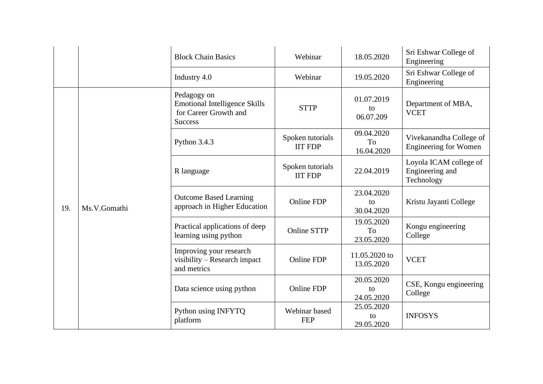|     |              | <b>Block Chain Basics</b>                                                                      | Webinar                            | 18.05.2020                     | Sri Eshwar College of<br>Engineering                    |
|-----|--------------|------------------------------------------------------------------------------------------------|------------------------------------|--------------------------------|---------------------------------------------------------|
|     |              | Industry 4.0                                                                                   | Webinar                            | 19.05.2020                     | Sri Eshwar College of<br>Engineering                    |
|     |              | Pedagogy on<br><b>Emotional Intelligence Skills</b><br>for Career Growth and<br><b>Success</b> | <b>STTP</b>                        | 01.07.2019<br>to<br>06.07.209  | Department of MBA,<br><b>VCET</b>                       |
|     |              | Python 3.4.3                                                                                   | Spoken tutorials<br><b>IIT FDP</b> | 09.04.2020<br>To<br>16.04.2020 | Vivekanandha College of<br><b>Engineering for Women</b> |
|     |              | R language                                                                                     | Spoken tutorials<br><b>IIT FDP</b> | 22.04.2019                     | Loyola ICAM college of<br>Engineering and<br>Technology |
| 19. | Ms.V.Gomathi | <b>Outcome Based Learning</b><br>approach in Higher Education                                  | Online FDP                         | 23.04.2020<br>to<br>30.04.2020 | Kristu Jayanti College                                  |
|     |              | Practical applications of deep<br>learning using python                                        | <b>Online STTP</b>                 | 19.05.2020<br>To<br>23.05.2020 | Kongu engineering<br>College                            |
|     |              | Improving your research<br>$visibility - Research impact$<br>and metrics                       | Online FDP                         | 11.05.2020 to<br>13.05.2020    | <b>VCET</b>                                             |
|     |              | Data science using python                                                                      | Online FDP                         | 20.05.2020<br>to<br>24.05.2020 | CSE, Kongu engineering<br>College                       |
|     |              | Python using INFYTQ<br>platform                                                                | Webinar based<br><b>FEP</b>        | 25.05.2020<br>to<br>29.05.2020 | <b>INFOSYS</b>                                          |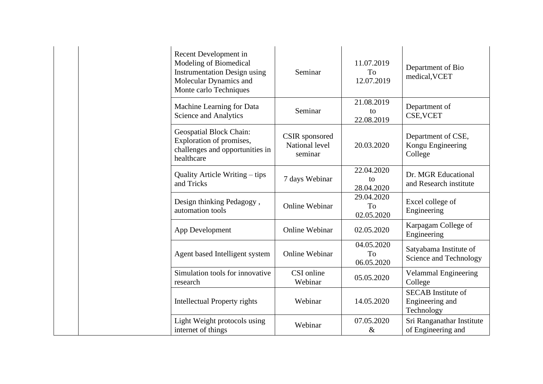| Recent Development in<br>Modeling of Biomedical<br><b>Instrumentation Design using</b><br>Molecular Dynamics and<br>Monte carlo Techniques | Seminar                                     | 11.07.2019<br>To<br>12.07.2019 | Department of Bio<br>medical, VCET                         |
|--------------------------------------------------------------------------------------------------------------------------------------------|---------------------------------------------|--------------------------------|------------------------------------------------------------|
| Machine Learning for Data<br>Science and Analytics                                                                                         | Seminar                                     | 21.08.2019<br>to<br>22.08.2019 | Department of<br><b>CSE, VCET</b>                          |
| Geospatial Block Chain:<br>Exploration of promises,<br>challenges and opportunities in<br>healthcare                                       | CSIR sponsored<br>National level<br>seminar | 20.03.2020                     | Department of CSE,<br>Kongu Engineering<br>College         |
| Quality Article Writing – tips<br>and Tricks                                                                                               | 7 days Webinar                              | 22.04.2020<br>to<br>28.04.2020 | Dr. MGR Educational<br>and Research institute              |
| Design thinking Pedagogy,<br>automation tools                                                                                              | <b>Online Webinar</b>                       | 29.04.2020<br>To<br>02.05.2020 | Excel college of<br>Engineering                            |
| App Development                                                                                                                            | <b>Online Webinar</b>                       | 02.05.2020                     | Karpagam College of<br>Engineering                         |
| Agent based Intelligent system                                                                                                             | <b>Online Webinar</b>                       | 04.05.2020<br>To<br>06.05.2020 | Satyabama Institute of<br>Science and Technology           |
| Simulation tools for innovative<br>research                                                                                                | CSI online<br>Webinar                       | 05.05.2020                     | <b>Velammal Engineering</b><br>College                     |
| Intellectual Property rights                                                                                                               | Webinar                                     | 14.05.2020                     | <b>SECAB</b> Institute of<br>Engineering and<br>Technology |
| Light Weight protocols using<br>internet of things                                                                                         | Webinar                                     | 07.05.2020<br>$\&$             | Sri Ranganathar Institute<br>of Engineering and            |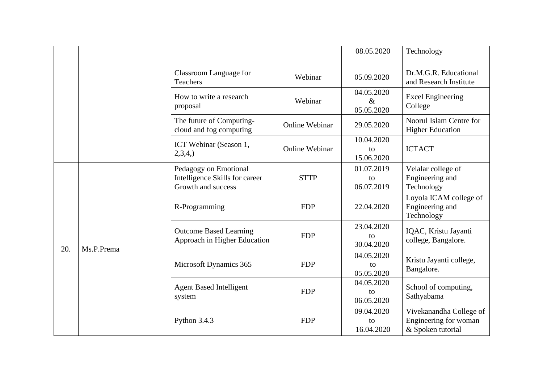|     |            |                                                                               |                       | 08.05.2020                       | Technology                                                            |
|-----|------------|-------------------------------------------------------------------------------|-----------------------|----------------------------------|-----------------------------------------------------------------------|
|     |            | Classroom Language for<br><b>Teachers</b>                                     | Webinar               | 05.09.2020                       | Dr.M.G.R. Educational<br>and Research Institute                       |
|     |            | How to write a research<br>proposal                                           | Webinar               | 04.05.2020<br>$\&$<br>05.05.2020 | <b>Excel Engineering</b><br>College                                   |
|     |            | The future of Computing-<br>cloud and fog computing                           | <b>Online Webinar</b> | 29.05.2020                       | Noorul Islam Centre for<br><b>Higher Education</b>                    |
|     |            | ICT Webinar (Season 1,<br>2,3,4,                                              | Online Webinar        | 10.04.2020<br>to<br>15.06.2020   | <b>ICTACT</b>                                                         |
| 20. | Ms.P.Prema | Pedagogy on Emotional<br>Intelligence Skills for career<br>Growth and success | <b>STTP</b>           | 01.07.2019<br>to<br>06.07.2019   | Velalar college of<br>Engineering and<br>Technology                   |
|     |            | R-Programming                                                                 | <b>FDP</b>            | 22.04.2020                       | Loyola ICAM college of<br>Engineering and<br>Technology               |
|     |            | <b>Outcome Based Learning</b><br>Approach in Higher Education                 | <b>FDP</b>            | 23.04.2020<br>to<br>30.04.2020   | IQAC, Kristu Jayanti<br>college, Bangalore.                           |
|     |            | Microsoft Dynamics 365                                                        | <b>FDP</b>            | 04.05.2020<br>to<br>05.05.2020   | Kristu Jayanti college,<br>Bangalore.                                 |
|     |            | <b>Agent Based Intelligent</b><br>system                                      | <b>FDP</b>            | 04.05.2020<br>to<br>06.05.2020   | School of computing,<br>Sathyabama                                    |
|     |            | Python 3.4.3                                                                  | <b>FDP</b>            | 09.04.2020<br>to<br>16.04.2020   | Vivekanandha College of<br>Engineering for woman<br>& Spoken tutorial |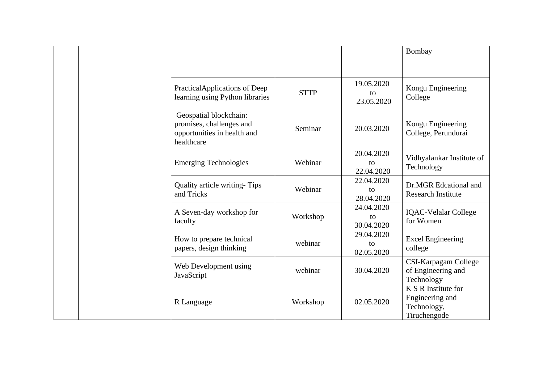|                                                                                                 |             |                                | Bombay                                                                |
|-------------------------------------------------------------------------------------------------|-------------|--------------------------------|-----------------------------------------------------------------------|
|                                                                                                 |             |                                |                                                                       |
| PracticalApplications of Deep<br>learning using Python libraries                                | <b>STTP</b> | 19.05.2020<br>to<br>23.05.2020 | Kongu Engineering<br>College                                          |
| Geospatial blockchain:<br>promises, challenges and<br>opportunities in health and<br>healthcare | Seminar     | 20.03.2020                     | Kongu Engineering<br>College, Perundurai                              |
| <b>Emerging Technologies</b>                                                                    | Webinar     | 20.04.2020<br>to<br>22.04.2020 | Vidhyalankar Institute of<br>Technology                               |
| Quality article writing-Tips<br>and Tricks                                                      | Webinar     | 22.04.2020<br>to<br>28.04.2020 | Dr.MGR Edcational and<br><b>Research Institute</b>                    |
| A Seven-day workshop for<br>faculty                                                             | Workshop    | 24.04.2020<br>tΩ<br>30.04.2020 | <b>IQAC-Velalar College</b><br>for Women                              |
| How to prepare technical<br>papers, design thinking                                             | webinar     | 29.04.2020<br>to<br>02.05.2020 | <b>Excel Engineering</b><br>college                                   |
| Web Development using<br>JavaScript                                                             | webinar     | 30.04.2020                     | CSI-Karpagam College<br>of Engineering and<br>Technology              |
| R Language                                                                                      | Workshop    | 02.05.2020                     | K S R Institute for<br>Engineering and<br>Technology,<br>Tiruchengode |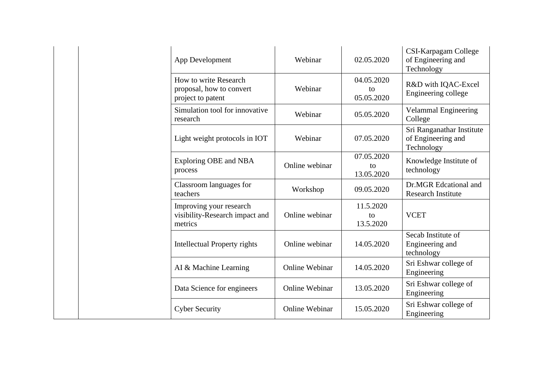| App Development                                                        | Webinar               | 02.05.2020                     | CSI-Karpagam College<br>of Engineering and<br>Technology      |
|------------------------------------------------------------------------|-----------------------|--------------------------------|---------------------------------------------------------------|
| How to write Research<br>proposal, how to convert<br>project to patent | Webinar               | 04.05.2020<br>to<br>05.05.2020 | R&D with IQAC-Excel<br>Engineering college                    |
| Simulation tool for innovative<br>research                             | Webinar               | 05.05.2020                     | <b>Velammal Engineering</b><br>College                        |
| Light weight protocols in IOT                                          | Webinar               | 07.05.2020                     | Sri Ranganathar Institute<br>of Engineering and<br>Technology |
| Exploring OBE and NBA<br>process                                       | Online webinar        | 07.05.2020<br>to<br>13.05.2020 | Knowledge Institute of<br>technology                          |
| Classroom languages for<br>teachers                                    | Workshop              | 09.05.2020                     | Dr.MGR Edcational and<br><b>Research Institute</b>            |
| Improving your research<br>visibility-Research impact and<br>metrics   | Online webinar        | 11.5.2020<br>to<br>13.5.2020   | <b>VCET</b>                                                   |
| <b>Intellectual Property rights</b>                                    | Online webinar        | 14.05.2020                     | Secab Institute of<br>Engineering and<br>technology           |
| AI & Machine Learning                                                  | <b>Online Webinar</b> | 14.05.2020                     | Sri Eshwar college of<br>Engineering                          |
| Data Science for engineers                                             | <b>Online Webinar</b> | 13.05.2020                     | Sri Eshwar college of<br>Engineering                          |
| <b>Cyber Security</b>                                                  | <b>Online Webinar</b> | 15.05.2020                     | Sri Eshwar college of<br>Engineering                          |

 $\overline{\phantom{a}}$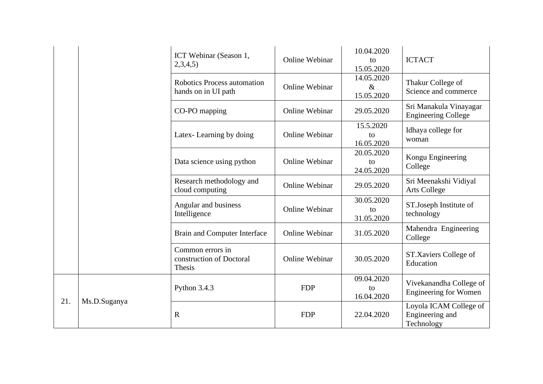|     |              | ICT Webinar (Season 1,<br>2,3,4,5)                     | <b>Online Webinar</b> | 10.04.2020<br>to<br>15.05.2020   | <b>ICTACT</b>                                           |
|-----|--------------|--------------------------------------------------------|-----------------------|----------------------------------|---------------------------------------------------------|
|     |              | Robotics Process automation<br>hands on in UI path     | <b>Online Webinar</b> | 14.05.2020<br>$\&$<br>15.05.2020 | Thakur College of<br>Science and commerce               |
|     |              | CO-PO mapping                                          | Online Webinar        | 29.05.2020                       | Sri Manakula Vinayagar<br><b>Engineering College</b>    |
|     |              | Latex-Learning by doing                                | <b>Online Webinar</b> | 15.5.2020<br>to<br>16.05.2020    | Idhaya college for<br>woman                             |
|     |              | Data science using python                              | <b>Online Webinar</b> | 20.05.2020<br>to<br>24.05.2020   | Kongu Engineering<br>College                            |
|     |              | Research methodology and<br>cloud computing            | Online Webinar        | 29.05.2020                       | Sri Meenakshi Vidiyal<br>Arts College                   |
|     |              | Angular and business<br>Intelligence                   | <b>Online Webinar</b> | 30.05.2020<br>to<br>31.05.2020   | ST.Joseph Institute of<br>technology                    |
|     |              | <b>Brain and Computer Interface</b>                    | Online Webinar        | 31.05.2020                       | Mahendra Engineering<br>College                         |
|     |              | Common errors in<br>construction of Doctoral<br>Thesis | Online Webinar        | 30.05.2020                       | ST.Xaviers College of<br>Education                      |
| 21. | Ms.D.Suganya | Python 3.4.3                                           | <b>FDP</b>            | 09.04.2020<br>to<br>16.04.2020   | Vivekanandha College of<br><b>Engineering for Women</b> |
|     |              | $\mathbf R$                                            | <b>FDP</b>            | 22.04.2020                       | Loyola ICAM College of<br>Engineering and<br>Technology |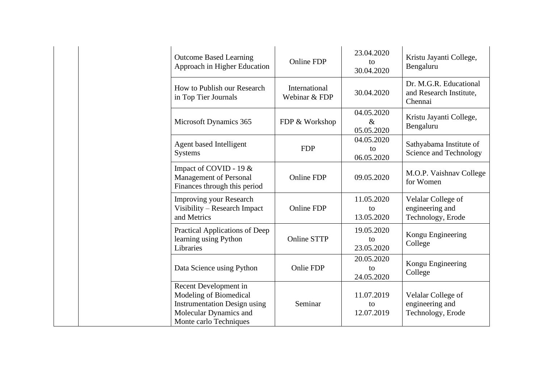| <b>Outcome Based Learning</b><br>Approach in Higher Education                                                                              | <b>Online FDP</b>              | 23.04.2020<br>to<br>30.04.2020   | Kristu Jayanti College,<br>Bengaluru                         |
|--------------------------------------------------------------------------------------------------------------------------------------------|--------------------------------|----------------------------------|--------------------------------------------------------------|
| How to Publish our Research<br>in Top Tier Journals                                                                                        | International<br>Webinar & FDP | 30.04.2020                       | Dr. M.G.R. Educational<br>and Research Institute,<br>Chennai |
| Microsoft Dynamics 365                                                                                                                     | FDP & Workshop                 | 04.05.2020<br>$\&$<br>05.05.2020 | Kristu Jayanti College,<br>Bengaluru                         |
| Agent based Intelligent<br><b>Systems</b>                                                                                                  | <b>FDP</b>                     | 04.05.2020<br>to<br>06.05.2020   | Sathyabama Institute of<br>Science and Technology            |
| Impact of COVID - 19 &<br><b>Management of Personal</b><br>Finances through this period                                                    | <b>Online FDP</b>              | 09.05.2020                       | M.O.P. Vaishnav College<br>for Women                         |
| <b>Improving your Research</b><br>Visibility - Research Impact<br>and Metrics                                                              | <b>Online FDP</b>              | 11.05.2020<br>to<br>13.05.2020   | Velalar College of<br>engineering and<br>Technology, Erode   |
| Practical Applications of Deep<br>learning using Python<br>Libraries                                                                       | <b>Online STTP</b>             | 19.05.2020<br>to<br>23.05.2020   | Kongu Engineering<br>College                                 |
| Data Science using Python                                                                                                                  | Onlie FDP                      | 20.05.2020<br>to<br>24.05.2020   | Kongu Engineering<br>College                                 |
| Recent Development in<br>Modeling of Biomedical<br><b>Instrumentation Design using</b><br>Molecular Dynamics and<br>Monte carlo Techniques | Seminar                        | 11.07.2019<br>to<br>12.07.2019   | Velalar College of<br>engineering and<br>Technology, Erode   |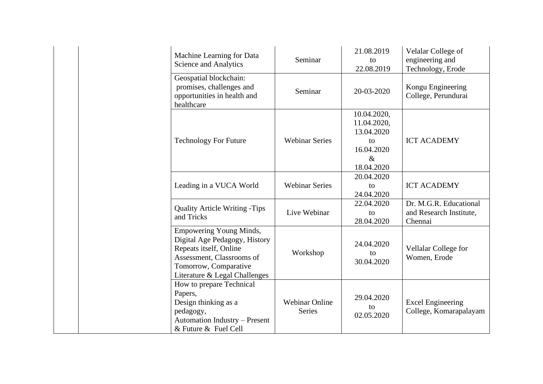| Machine Learning for Data<br>Science and Analytics                                                                                                                               | Seminar                                | 21.08.2019<br>to<br>22.08.2019                                                     | Velalar College of<br>engineering and<br>Technology, Erode   |
|----------------------------------------------------------------------------------------------------------------------------------------------------------------------------------|----------------------------------------|------------------------------------------------------------------------------------|--------------------------------------------------------------|
| Geospatial blockchain:<br>promises, challenges and<br>opportunities in health and<br>healthcare                                                                                  | Seminar                                | 20-03-2020                                                                         | Kongu Engineering<br>College, Perundurai                     |
| <b>Technology For Future</b>                                                                                                                                                     | <b>Webinar Series</b>                  | 10.04.2020,<br>11.04.2020,<br>13.04.2020<br>to<br>16.04.2020<br>$\&$<br>18.04.2020 | <b>ICT ACADEMY</b>                                           |
| Leading in a VUCA World                                                                                                                                                          | <b>Webinar Series</b>                  | 20.04.2020<br>to<br>24.04.2020                                                     | <b>ICT ACADEMY</b>                                           |
| <b>Quality Article Writing -Tips</b><br>and Tricks                                                                                                                               | Live Webinar                           | 22.04.2020<br>to<br>28.04.2020                                                     | Dr. M.G.R. Educational<br>and Research Institute,<br>Chennai |
| <b>Empowering Young Minds,</b><br>Digital Age Pedagogy, History<br>Repeats itself, Online<br>Assessment, Classrooms of<br>Tomorrow, Comparative<br>Literature & Legal Challenges | Workshop                               | 24.04.2020<br>to<br>30.04.2020                                                     | Vellalar College for<br>Women, Erode                         |
| How to prepare Technical<br>Papers,<br>Design thinking as a<br>pedagogy,<br><b>Automation Industry - Present</b><br>& Future & Fuel Cell                                         | <b>Webinar Online</b><br><b>Series</b> | 29.04.2020<br>to<br>02.05.2020                                                     | <b>Excel Engineering</b><br>College, Komarapalayam           |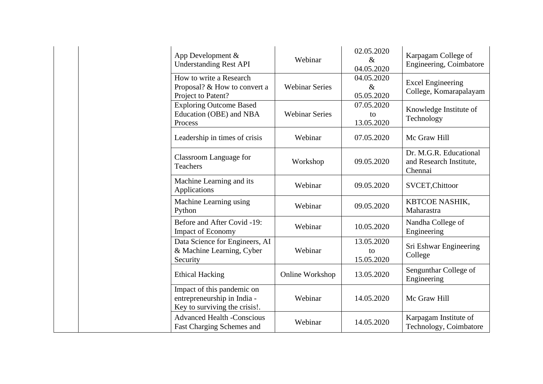| App Development &<br><b>Understanding Rest API</b>                                         | Webinar               | 02.05.2020<br>$\&$<br>04.05.2020 | Karpagam College of<br>Engineering, Coimbatore               |
|--------------------------------------------------------------------------------------------|-----------------------|----------------------------------|--------------------------------------------------------------|
| How to write a Research<br>Proposal? & How to convert a<br>Project to Patent?              | <b>Webinar Series</b> | 04.05.2020<br>$\&$<br>05.05.2020 | <b>Excel Engineering</b><br>College, Komarapalayam           |
| <b>Exploring Outcome Based</b><br>Education (OBE) and NBA<br>Process                       | <b>Webinar Series</b> | 07.05.2020<br>to<br>13.05.2020   | Knowledge Institute of<br>Technology                         |
| Leadership in times of crisis                                                              | Webinar               | 07.05.2020                       | Mc Graw Hill                                                 |
| Classroom Language for<br><b>Teachers</b>                                                  | Workshop              | 09.05.2020                       | Dr. M.G.R. Educational<br>and Research Institute,<br>Chennai |
| Machine Learning and its<br>Applications                                                   | Webinar               | 09.05.2020                       | SVCET, Chittoor                                              |
| Machine Learning using<br>Python                                                           | Webinar               | 09.05.2020                       | KBTCOE NASHIK,<br>Maharastra                                 |
| Before and After Covid -19:<br><b>Impact of Economy</b>                                    | Webinar               | 10.05.2020                       | Nandha College of<br>Engineering                             |
| Data Science for Engineers, AI<br>& Machine Learning, Cyber<br>Security                    | Webinar               | 13.05.2020<br>to<br>15.05.2020   | Sri Eshwar Engineering<br>College                            |
| <b>Ethical Hacking</b>                                                                     | Online Workshop       | 13.05.2020                       | Sengunthar College of<br>Engineering                         |
| Impact of this pandemic on<br>entrepreneurship in India -<br>Key to surviving the crisis!. | Webinar               | 14.05.2020                       | Mc Graw Hill                                                 |
| <b>Advanced Health -Conscious</b><br>Fast Charging Schemes and                             | Webinar               | 14.05.2020                       | Karpagam Institute of<br>Technology, Coimbatore              |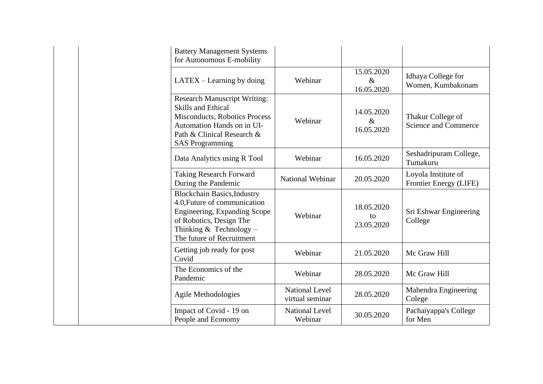| <b>Battery Management Systems</b><br>for Autonomous E-mobility                                                                                                                                 |                                          |                                  |                                                  |
|------------------------------------------------------------------------------------------------------------------------------------------------------------------------------------------------|------------------------------------------|----------------------------------|--------------------------------------------------|
| $LATEX - Learning by doing$                                                                                                                                                                    | Webinar                                  | 15.05.2020<br>$\&$<br>16.05.2020 | Idhaya College for<br>Women, Kumbakonam          |
| <b>Research Manuscript Writing:</b><br><b>Skills and Ethical</b><br><b>Misconducts, Robotics Process</b><br>Automation Hands on in UI-<br>Path & Clinical Research &<br><b>SAS Programming</b> | Webinar                                  | 14.05.2020<br>$\&$<br>16.05.2020 | Thakur College of<br><b>Science and Commerce</b> |
| Data Analytics using R Tool                                                                                                                                                                    | Webinar                                  | 16.05.2020                       | Seshadripuram College,<br>Tumakuru               |
| <b>Taking Research Forward</b><br>During the Pandemic                                                                                                                                          | <b>National Webinar</b>                  | 20.05.2020                       | Loyola Institute of<br>Frontier Energy (LIFE)    |
| <b>Blockchain Basics, Industry</b><br>4.0, Future of communication<br>Engineering, Expanding Scope<br>of Robotics, Design The<br>Thinking & Technology $-$<br>The future of Recruitment        | Webinar                                  | 18.05.2020<br>to<br>23.05.2020   | Sri Eshwar Engineering<br>College                |
| Getting job ready for post<br>Covid                                                                                                                                                            | Webinar                                  | 21.05.2020                       | Mc Graw Hill                                     |
| The Economics of the<br>Pandemic                                                                                                                                                               | Webinar                                  | 28.05.2020                       | Mc Graw Hill                                     |
| Agile Methodologies                                                                                                                                                                            | <b>National Level</b><br>virtual seminar | 28.05.2020                       | Mahendra Engineering<br>Colege                   |
| Impact of Covid - 19 on<br>People and Economy                                                                                                                                                  | <b>National Level</b><br>Webinar         | 30.05.2020                       | Pachaiyappa's College<br>for Men                 |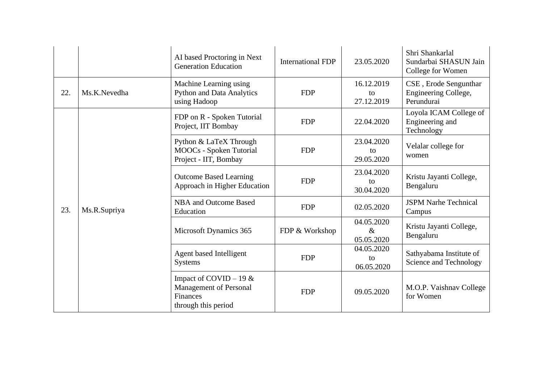|     |                                                                            | AI based Proctoring in Next<br><b>Generation Education</b>                                          | <b>International FDP</b>       | 23.05.2020                           | Shri Shankarlal<br>Sundarbai SHASUN Jain<br>College for Women |
|-----|----------------------------------------------------------------------------|-----------------------------------------------------------------------------------------------------|--------------------------------|--------------------------------------|---------------------------------------------------------------|
| 22. | Ms.K.Nevedha                                                               | Machine Learning using<br><b>Python and Data Analytics</b><br>using Hadoop                          | <b>FDP</b>                     | 16.12.2019<br>to<br>27.12.2019       | CSE, Erode Sengunthar<br>Engineering College,<br>Perundurai   |
|     |                                                                            | FDP on R - Spoken Tutorial<br>Project, IIT Bombay                                                   | <b>FDP</b>                     | 22.04.2020                           | Loyola ICAM College of<br>Engineering and<br>Technology       |
|     | Python & LaTeX Through<br>MOOCs - Spoken Tutorial<br>Project - IIT, Bombay | <b>FDP</b>                                                                                          | 23.04.2020<br>to<br>29.05.2020 | Velalar college for<br>women         |                                                               |
|     | <b>Outcome Based Learning</b><br>Approach in Higher Education              | <b>FDP</b>                                                                                          | 23.04.2020<br>to<br>30.04.2020 | Kristu Jayanti College,<br>Bengaluru |                                                               |
| 23. | Ms.R.Supriya                                                               | <b>NBA and Outcome Based</b><br>Education                                                           | <b>FDP</b>                     | 02.05.2020                           | <b>JSPM Narhe Technical</b><br>Campus                         |
|     |                                                                            | Microsoft Dynamics 365                                                                              | FDP & Workshop                 | 04.05.2020<br>$\&$<br>05.05.2020     | Kristu Jayanti College,<br>Bengaluru                          |
|     |                                                                            | Agent based Intelligent<br><b>Systems</b>                                                           | <b>FDP</b>                     | 04.05.2020<br>to<br>06.05.2020       | Sathyabama Institute of<br>Science and Technology             |
|     |                                                                            | Impact of COVID – 19 $&$<br><b>Management of Personal</b><br><b>Finances</b><br>through this period | <b>FDP</b>                     | 09.05.2020                           | M.O.P. Vaishnav College<br>for Women                          |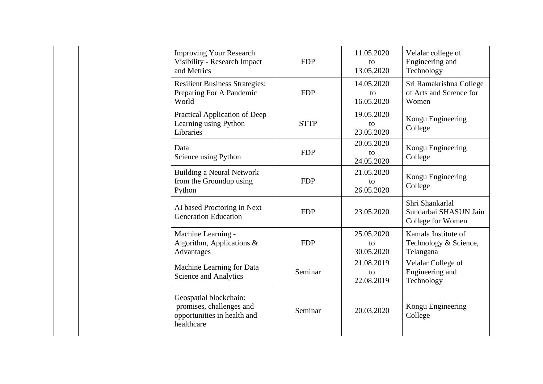| <b>Improving Your Research</b><br>Visibility - Research Impact<br>and Metrics                   | <b>FDP</b>  | 11.05.2020<br>to<br>13.05.2020 | Velalar college of<br>Engineering and<br>Technology           |
|-------------------------------------------------------------------------------------------------|-------------|--------------------------------|---------------------------------------------------------------|
| <b>Resilient Business Strategies:</b><br>Preparing For A Pandemic<br>World                      | <b>FDP</b>  | 14.05.2020<br>to<br>16.05.2020 | Sri Ramakrishna College<br>of Arts and Scrence for<br>Women   |
| Practical Application of Deep<br>Learning using Python<br>Libraries                             | <b>STTP</b> | 19.05.2020<br>to<br>23.05.2020 | Kongu Engineering<br>College                                  |
| Data<br>Science using Python                                                                    | <b>FDP</b>  | 20.05.2020<br>to<br>24.05.2020 | Kongu Engineering<br>College                                  |
| <b>Building a Neural Network</b><br>from the Groundup using<br>Python                           | <b>FDP</b>  | 21.05.2020<br>to<br>26.05.2020 | Kongu Engineering<br>College                                  |
| AI based Proctoring in Next<br><b>Generation Education</b>                                      | <b>FDP</b>  | 23.05.2020                     | Shri Shankarlal<br>Sundarbai SHASUN Jain<br>College for Women |
| Machine Learning -<br>Algorithm, Applications &<br>Advantages                                   | <b>FDP</b>  | 25.05.2020<br>to<br>30.05.2020 | Kamala Institute of<br>Technology & Science,<br>Telangana     |
| Machine Learning for Data<br><b>Science and Analytics</b>                                       | Seminar     | 21.08.2019<br>to<br>22.08.2019 | Velalar College of<br>Engineering and<br>Technology           |
| Geospatial blockchain:<br>promises, challenges and<br>opportunities in health and<br>healthcare | Seminar     | 20.03.2020                     | Kongu Engineering<br>College                                  |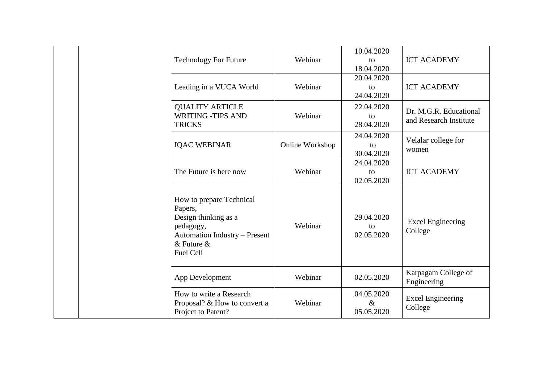| <b>Technology For Future</b>                                                                                                             | Webinar         | 10.04.2020<br>to<br>18.04.2020   | <b>ICT ACADEMY</b>                               |
|------------------------------------------------------------------------------------------------------------------------------------------|-----------------|----------------------------------|--------------------------------------------------|
| Leading in a VUCA World                                                                                                                  | Webinar         | 20.04.2020<br>to<br>24.04.2020   | <b>ICT ACADEMY</b>                               |
| <b>QUALITY ARTICLE</b><br><b>WRITING -TIPS AND</b><br><b>TRICKS</b>                                                                      | Webinar         | 22.04.2020<br>to<br>28.04.2020   | Dr. M.G.R. Educational<br>and Research Institute |
| <b>IQAC WEBINAR</b>                                                                                                                      | Online Workshop | 24.04.2020<br>to<br>30.04.2020   | Velalar college for<br>women                     |
| The Future is here now                                                                                                                   | Webinar         | 24.04.2020<br>to<br>02.05.2020   | <b>ICT ACADEMY</b>                               |
| How to prepare Technical<br>Papers,<br>Design thinking as a<br>pedagogy,<br>Automation Industry - Present<br>$&$ Future $&$<br>Fuel Cell | Webinar         | 29.04.2020<br>to<br>02.05.2020   | <b>Excel Engineering</b><br>College              |
| App Development                                                                                                                          | Webinar         | 02.05.2020                       | Karpagam College of<br>Engineering               |
| How to write a Research<br>Proposal? & How to convert a<br>Project to Patent?                                                            | Webinar         | 04.05.2020<br>$\&$<br>05.05.2020 | <b>Excel Engineering</b><br>College              |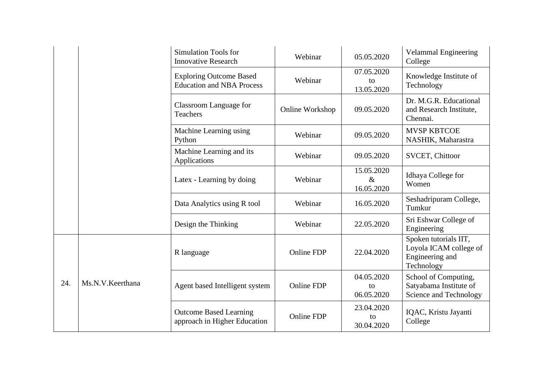|     |                  | <b>Simulation Tools for</b><br><b>Innovative Research</b>          | Webinar           | 05.05.2020                       | <b>Velammal Engineering</b><br>College                                           |
|-----|------------------|--------------------------------------------------------------------|-------------------|----------------------------------|----------------------------------------------------------------------------------|
|     |                  | <b>Exploring Outcome Based</b><br><b>Education and NBA Process</b> | Webinar           | 07.05.2020<br>to<br>13.05.2020   | Knowledge Institute of<br>Technology                                             |
|     |                  | Classroom Language for<br><b>Teachers</b>                          | Online Workshop   | 09.05.2020                       | Dr. M.G.R. Educational<br>and Research Institute,<br>Chennai.                    |
|     |                  | Machine Learning using<br>Python                                   | Webinar           | 09.05.2020                       | <b>MVSP KBTCOE</b><br>NASHIK, Maharastra                                         |
|     |                  | Machine Learning and its<br>Applications                           | Webinar           | 09.05.2020                       | SVCET, Chittoor                                                                  |
|     |                  | Latex - Learning by doing                                          | Webinar           | 15.05.2020<br>$\&$<br>16.05.2020 | Idhaya College for<br>Women                                                      |
|     |                  | Data Analytics using R tool                                        | Webinar           | 16.05.2020                       | Seshadripuram College,<br>Tumkur                                                 |
|     |                  | Design the Thinking                                                | Webinar           | 22.05.2020                       | Sri Eshwar College of<br>Engineering                                             |
| 24. | Ms.N.V.Keerthana | R language                                                         | Online FDP        | 22.04.2020                       | Spoken tutorials IIT,<br>Loyola ICAM college of<br>Engineering and<br>Technology |
|     |                  | Agent based Intelligent system                                     | <b>Online FDP</b> | 04.05.2020<br>to<br>06.05.2020   | School of Computing,<br>Satyabama Institute of<br>Science and Technology         |
|     |                  | <b>Outcome Based Learning</b><br>approach in Higher Education      | Online FDP        | 23.04.2020<br>to<br>30.04.2020   | IQAC, Kristu Jayanti<br>College                                                  |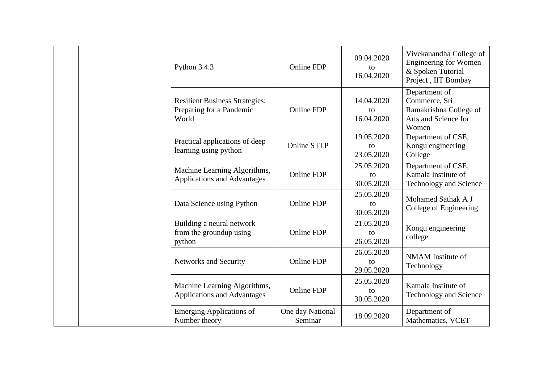| Python 3.4.3                                                               | <b>Online FDP</b>           | 09.04.2020<br>tο<br>16.04.2020 | Vivekanandha College of<br><b>Engineering for Women</b><br>& Spoken Tutorial<br>Project, IIT Bombay |
|----------------------------------------------------------------------------|-----------------------------|--------------------------------|-----------------------------------------------------------------------------------------------------|
| <b>Resilient Business Strategies:</b><br>Preparing for a Pandemic<br>World | <b>Online FDP</b>           | 14.04.2020<br>to<br>16.04.2020 | Department of<br>Commerce, Sri<br>Ramakrishna College of<br>Arts and Science for<br>Women           |
| Practical applications of deep<br>learning using python                    | <b>Online STTP</b>          | 19.05.2020<br>to<br>23.05.2020 | Department of CSE,<br>Kongu engineering<br>College                                                  |
| Machine Learning Algorithms,<br><b>Applications and Advantages</b>         | <b>Online FDP</b>           | 25.05.2020<br>to<br>30.05.2020 | Department of CSE,<br>Kamala Institute of<br>Technology and Science                                 |
| Data Science using Python                                                  | <b>Online FDP</b>           | 25.05.2020<br>to<br>30.05.2020 | Mohamed Sathak A J<br>College of Engineering                                                        |
| Building a neural network<br>from the groundup using<br>python             | <b>Online FDP</b>           | 21.05.2020<br>tο<br>26.05.2020 | Kongu engineering<br>college                                                                        |
| Networks and Security                                                      | <b>Online FDP</b>           | 26.05.2020<br>to<br>29.05.2020 | NMAM Institute of<br>Technology                                                                     |
| Machine Learning Algorithms,<br><b>Applications and Advantages</b>         | <b>Online FDP</b>           | 25.05.2020<br>tο<br>30.05.2020 | Kamala Institute of<br><b>Technology and Science</b>                                                |
| <b>Emerging Applications of</b><br>Number theory                           | One day National<br>Seminar | 18.09.2020                     | Department of<br>Mathematics, VCET                                                                  |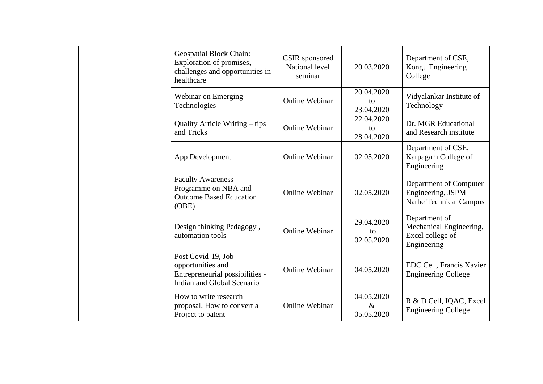| Geospatial Block Chain:<br>Exploration of promises,<br>challenges and opportunities in<br>healthcare     | CSIR sponsored<br>National level<br>seminar | 20.03.2020                       | Department of CSE,<br>Kongu Engineering<br>College                           |
|----------------------------------------------------------------------------------------------------------|---------------------------------------------|----------------------------------|------------------------------------------------------------------------------|
| <b>Webinar on Emerging</b><br>Technologies                                                               | <b>Online Webinar</b>                       | 20.04.2020<br>to<br>23.04.2020   | Vidyalankar Institute of<br>Technology                                       |
| Quality Article Writing – tips<br>and Tricks                                                             | <b>Online Webinar</b>                       | 22.04.2020<br>to<br>28.04.2020   | Dr. MGR Educational<br>and Research institute                                |
| App Development                                                                                          | <b>Online Webinar</b>                       | 02.05.2020                       | Department of CSE,<br>Karpagam College of<br>Engineering                     |
| <b>Faculty Awareness</b><br>Programme on NBA and<br><b>Outcome Based Education</b><br>(OBE)              | Online Webinar                              | 02.05.2020                       | Department of Computer<br>Engineering, JSPM<br><b>Narhe Technical Campus</b> |
| Design thinking Pedagogy,<br>automation tools                                                            | <b>Online Webinar</b>                       | 29.04.2020<br>to<br>02.05.2020   | Department of<br>Mechanical Engineering,<br>Excel college of<br>Engineering  |
| Post Covid-19, Job<br>opportunities and<br>Entrepreneurial possibilities -<br>Indian and Global Scenario | Online Webinar                              | 04.05.2020                       | EDC Cell, Francis Xavier<br><b>Engineering College</b>                       |
| How to write research<br>proposal, How to convert a<br>Project to patent                                 | <b>Online Webinar</b>                       | 04.05.2020<br>$\&$<br>05.05.2020 | R & D Cell, IQAC, Excel<br><b>Engineering College</b>                        |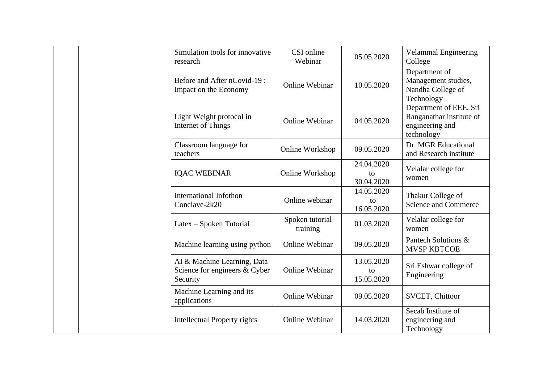| Simulation tools for innovative<br>research                              | CSI online<br>Webinar       | 05.05.2020                     | <b>Velammal Engineering</b><br>College                                              |
|--------------------------------------------------------------------------|-----------------------------|--------------------------------|-------------------------------------------------------------------------------------|
| Before and After nCovid-19:<br>Impact on the Economy                     | <b>Online Webinar</b>       | 10.05.2020                     | Department of<br>Management studies,<br>Nandha College of<br>Technology             |
| Light Weight protocol in<br>Internet of Things                           | Online Webinar              | 04.05.2020                     | Department of EEE, Sri<br>Ranganathar institute of<br>engineering and<br>technology |
| Classroom language for<br>teachers                                       | Online Workshop             | 09.05.2020                     | Dr. MGR Educational<br>and Research institute                                       |
| <b>IQAC WEBINAR</b>                                                      | Online Workshop             | 24.04.2020<br>to<br>30.04.2020 | Velalar college for<br>women                                                        |
| <b>International Infothon</b><br>Conclave-2k20                           | Online webinar              | 14.05.2020<br>to<br>16.05.2020 | Thakur College of<br><b>Science and Commerce</b>                                    |
| Latex - Spoken Tutorial                                                  | Spoken tutorial<br>training | 01.03.2020                     | Velalar college for<br>women                                                        |
| Machine learning using python                                            | <b>Online Webinar</b>       | 09.05.2020                     | Pantech Solutions &<br><b>MVSP KBTCOE</b>                                           |
| AI & Machine Learning, Data<br>Science for engineers & Cyber<br>Security | <b>Online Webinar</b>       | 13.05.2020<br>to<br>15.05.2020 | Sri Eshwar college of<br>Engineering                                                |
| Machine Learning and its<br>applications                                 | <b>Online Webinar</b>       | 09.05.2020                     | <b>SVCET, Chittoor</b>                                                              |
| <b>Intellectual Property rights</b>                                      | Online Webinar              | 14.03.2020                     | Secab Institute of<br>engineering and<br>Technology                                 |